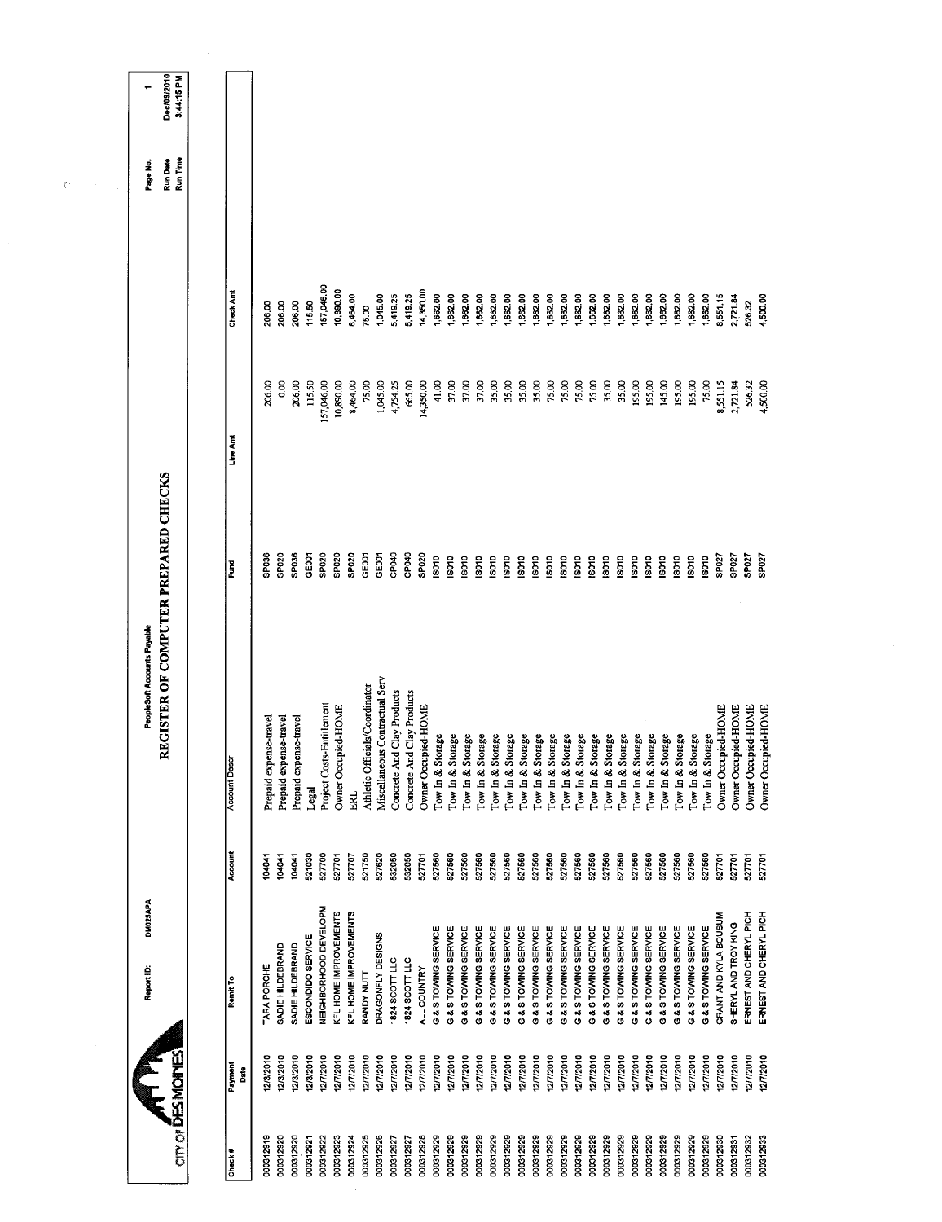|     | ٠                                  | Dec/09/2010<br>3:44:15 PM            |                     |                        |                                      |                                 |                           |                       |                       |                                |                                |                            |                            |                     |                                              |                                      |                      |                      |                         |                      |                      |                      |                                              |                      |                      |                      |                      |                      |                              |                                              |                                      |                       |                      |                        |                        |
|-----|------------------------------------|--------------------------------------|---------------------|------------------------|--------------------------------------|---------------------------------|---------------------------|-----------------------|-----------------------|--------------------------------|--------------------------------|----------------------------|----------------------------|---------------------|----------------------------------------------|--------------------------------------|----------------------|----------------------|-------------------------|----------------------|----------------------|----------------------|----------------------------------------------|----------------------|----------------------|----------------------|----------------------|----------------------|------------------------------|----------------------------------------------|--------------------------------------|-----------------------|----------------------|------------------------|------------------------|
| ζt. | Page No.                           | Run Time<br>Run Date                 |                     |                        |                                      |                                 |                           |                       |                       |                                |                                |                            |                            |                     |                                              |                                      |                      |                      |                         |                      |                      |                      |                                              |                      |                      |                      |                      |                      |                              |                                              |                                      |                       |                      |                        |                        |
|     |                                    |                                      | Check Amt           | 206.00                 | 206.00<br>206.00                     | 115.50                          | 157,046.00                | 10,890.00             | 8,464.00              | 75.00                          | 1,045.00                       | 5,419.25                   | 5,419.25                   | 14,350.00           | 1,662.00<br>1,662.00                         | 1,662.00                             | 1,662.00             | 1,662.00             | ,562.00                 | 1,662.00             | 1,662.00             | 1,662.00             | 1,662.00<br>1,662.00                         | 1,662.00             | 1,662.00             | 1,662.00             | 1,662.00             | 1,662.00             | 662.00                       | 1,662.00<br>1,662.00                         | 1,662.00                             | 8,551.15              | 2,721.84             | 526.32                 | 4,500.00               |
|     |                                    |                                      | Line Amt            | 206.00                 | 0.00<br>206.00                       | 115.50                          | 157,046.00                | 10,890.00             | 8,464.00              | 75.00                          | 1,045.00                       | 4,754.25                   | 665.00                     | 14,350.00           | 41.00<br>37.00                               | 37.00                                | 37.00                | 35.00                | 35.00                   | 35.00                | 35.00                | 75.00                | 75.00<br>75.00                               | 75.00                | 35.00                | 35.00                | 195.00               | 195.00               | 145.00                       | 195.00<br>195.00                             | 75.00                                | 8,551.15              | 2,721.84             | 526.32                 | 4,500.00               |
|     |                                    | REGISTER OF COMPUTER PREPARED CHECKS | Ĕ                   | SPO36                  | SPO36<br>SPO <sub>20</sub>           | GEOO1                           | <b>SP020</b>              | SPO <sub>20</sub>     | SPO <sub>20</sub>     | GE001                          | GE001                          | CP040                      | CPO40<br>SP020             |                     | <b>ISO10</b><br>IS010                        | <b>ISO10</b>                         | ISO10                | ISO10                | isotio                  | ISO10                | ISO10                | 18010<br>ISO10       | ISO <sub>10</sub>                            | <b>ISO10</b>         | 15010                | <b>ISO10</b>         | IS010                | ISO10                | <b>ISO10</b><br><b>ISO10</b> | <b>ISO10</b>                                 | IS010                                | SP <sub>027</sub>     | SP027                | SP027                  | SP027                  |
|     | <b>PeopleSoft Accounts Payable</b> |                                      | <b>Account Desc</b> | Prepaid expense-travel | Prepaid expense-travel               | Prepaid expense-travel<br>Legal | Project Costs-Entitlement | Owner Occupied-HOME   | ERL.                  | Athletic Officials/Coordinator | Miscellaneous Contractual Serv | Concrete And Clay Products | Concrete And Clay Products | Owner Occupied-HOME | Tow In & Storage                             | Tow In & Storage<br>Tow In & Storage | Tow In & Storage     | Tow In & Storage     | torage<br>Tow In $&$ St | Tow In & Storage     | Tow In & Storage     | Tow In & Storage     | Tow In & Storage<br>Tow In & Storage         | Tow In & Storage     | Tow In & Storage     | Tow In & Storage     | Tow In & Storage     | Tow In & Storage     | torage<br>Tow In & St        | Tow In & Storage                             | Tow In & Storage<br>Tow In & Storage | Owner Occupied-HOME   | Owner Occupied-HOME  | Owner Occupied-HOME    | Owner Occupied-HOME    |
|     |                                    |                                      | Account             | 104041                 | 104041<br>104041                     | 521030                          | 527700                    | 527701                | 527707                | 521750                         | 527620                         | 532050                     | 532050                     | 527701              | 527560<br>527560                             | 527560                               | 527560               | 527560               | 527560                  | 527560               | 527560               | 527560               | 527560<br>527560                             | 527560               | 527560               | 527560               | 527560               | 527560               | 527560                       | 527560<br>527560                             | 527560                               | 527701                | 527701               | 527701                 | 527701                 |
|     | DM025APA<br>Report ID:             |                                      | Remit To            | TARA PORCHE            | SADIE HILDEBRAND<br>SADIE HILDEBRAND | ESCONDIDO SERVICE               | NEIGHBORHOOD DEVELOPM     | KFL HOME IMPROVEMENTS | KFL HOME IMPROVEMENTS | <b>RANDY NUTT</b>              | DRAGONFLY DESIGNS              | 1824 SCOTT LLC             | 1824 SCOTT LLC             | ALL COUNTRY         | G & S TOWING SERVICE<br>G & S TOWING SERVICE | G & S TOWING SERVICE                 | G & S TOWING SERVICE | G & S TOWING SERVICE | G & S TOWING SERVICE    | G & S TOWING SERVICE | G & S TOWING SERVICE | G & S TOWING SERVICE | G & S TOWING SERVICE<br>G & S TOWING SERVICE | G & S TOWING SERVICE | G & S TOWING SERVICE | G & S TOWING SERVICE | G & S TOWING SERVICE | G & S TOWING SERVICE | G & S TOWING SERVICE         | G & S TOWING SERVICE<br>G & S TOWING SERVICE | G & S TOWING SERVICE                 | GRANT AND KYLA BOUSUM | SHERYL AND TROY KING | ERNEST AND CHERYL PICH | ERNEST AND CHERYL PICH |
|     |                                    |                                      | Payment<br>å        | 12/3/2010              | 12/3/2010<br>12/3/2010               | 12/3/2010                       | 12/7/2010                 | 12/7/2010             | 12/7/2010             | 12/7/2010                      | 12/7/2010                      | 12/7/2010                  | 12/7/2010                  | 12/7/2010           | 12/7/2010<br>127/2010                        | 12/7/2010                            | 12/7/2010            | 12/7/2010            | 127/2010                | 12/7/2010            | 12/7/2010            | 12/7/2010            | 12/7/2010<br>12/7/2010                       | 12/7/2010            | 12772010             | 12/7/2010            | 12/7/2010            | 12/7/2010            | 12/7/2010                    | 12/7/2010<br>12/7/2010                       | 127/2010                             | 1277/2010             | 12772010             | 12/7/2010              | 12/7/2010              |
|     |                                    | <b>CITY OF DES MOINES</b>            | Check #             | 000312919              | 000312920<br>000312920               | 000312921                       | 000312922                 | 000312923             | 000312924             | 000312925                      | 000312926                      | 000312927                  | 000312927                  | 000312928           | 000312929<br>000312929                       | 000312929                            | 000312929            | 000312929            | 000312929               | 000312929            | 000312929            | 000312929            | 000312929<br>000312929                       | 000312929            | 000312929            | 000312929            | 000312929            | 000312929            | 000312929                    | 000312929<br>000312929                       | 000312929                            | 000312930             | 000312931            | 000312932              | 000312933              |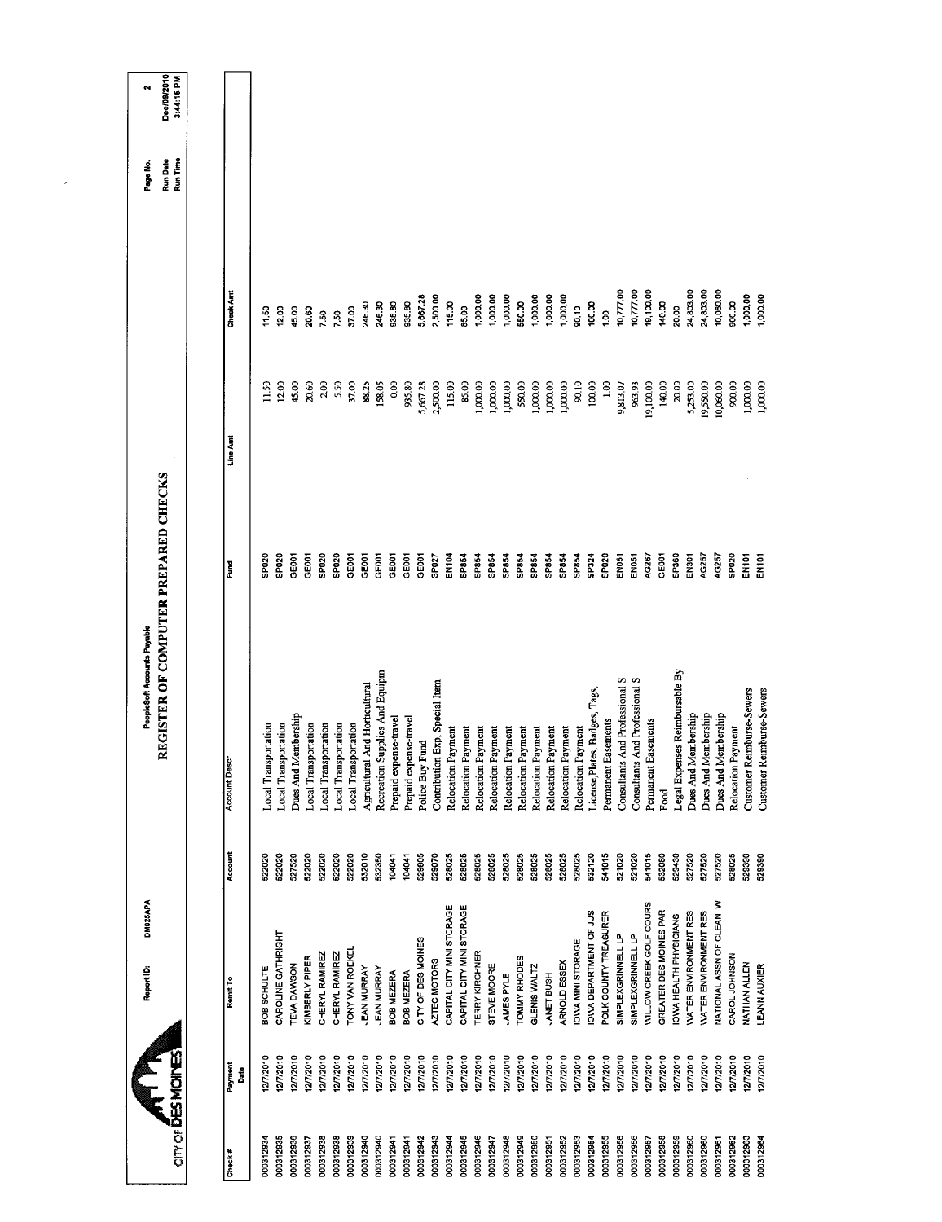|                                |               | <b>DM025APA</b><br>Report ID:  |         | PeopleSoft Accounts Payable          |                   |                 |                  | Page No.             | N                         |
|--------------------------------|---------------|--------------------------------|---------|--------------------------------------|-------------------|-----------------|------------------|----------------------|---------------------------|
| $\alpha$ or $\delta$ ES MOINES |               |                                |         | REGISTER OF COMPUTER PREPARED CHECKS |                   |                 |                  | Run Time<br>Run Date | Dec/09/2010<br>3:44:15 PM |
|                                |               |                                |         |                                      |                   |                 |                  |                      |                           |
| Check#                         | Payment<br>នី | Remit To                       | Account | <b>Account Descr</b>                 | Š                 | Line Amt        | <b>Check And</b> |                      |                           |
| 000312934                      | 2/7/2010      | BOB SCHULTE                    | 522020  | <b>Local Transportation</b>          | SP020             | $\frac{50}{11}$ | $\frac{5}{1}$    |                      |                           |
| 000312935                      | 12/7/2010     | CAROLINE GATHRIGHT             | 522020  | Local Transportation                 | SP020             | 12.00           | 12,00            |                      |                           |
| 000312936                      | 1277/2010     | <b>TEVA DAWSON</b>             | 527520  | Dues And Membership                  | GE001             | 45.00           | 45.00            |                      |                           |
| 000312937                      | 2/7/2010      | KIMBERLY PIPER                 | 522020  | Local Transportation                 | GE001             | 20.60           | 20.60            |                      |                           |
| 000312938                      | 12/7/2010     | CHERYL RAMIREZ                 | 522020  | Local Transportation                 | SP020             | 2.00            | 7.50             |                      |                           |
| 000312938                      | 1277/2010     | CHERYL RAMIREZ                 | 522020  | <b>Local Transportation</b>          | SP020             | 5.50            | 7.50             |                      |                           |
| 000312939                      | 277/2010      | TONY VAN ROEKEI                | 522020  | Local Transportation                 | GEOOT             | 37.00           | 37.00            |                      |                           |
| 000312940                      | 1277/2010     | <b>JEAN MURRAY</b>             | 532010  | Agricultural And Horticultural       | GE001             | 88.25           | 246.30           |                      |                           |
| 000312940                      | 277/2010      | <b>JEAN MURRAY</b>             | 532350  | Recreation Supplies And Equipm       | GE001             | 158.05          | 246.30           |                      |                           |
| 000312941                      | 12/7/2010     | <b>BOB MEZERA</b>              | 104041  | Prepaid expense-travel               | GEOOT             | 0.00            | 935.80           |                      |                           |
| 000312941                      | 1277/2010     | BOB MEZERA                     | 104041  | Prepaid expense-travel               | GEOOT             | 935.80          | 935.80           |                      |                           |
| 000312942                      | 12/7/2010     | CITY OF DES MOINES             | 529805  | Police Buy Fund                      | GEOOT             | 5,667.28        | 5,667.28         |                      |                           |
| 000312943                      | 127/2010      | AZTEC MOTORS                   | 529070  | Contribution Exp, Special Item       | SPO <sub>27</sub> | 2,500.00        | 2,500.00         |                      |                           |
| 000312944                      | 12/7/2010     | CAPITAL CITY MINI STORAGE      | 528025  | Payment<br>Relocation                | EN104             | 115.00          | 115.00           |                      |                           |
| 000312945                      | 12/7/2010     | CAPITAL CITY MINI STORAGE      | 528025  | Payment<br>Relocation                | SP854             | 85.00           | 85.00            |                      |                           |
| 000312946                      | 12/7/2010     | TERRY KIRCHNER                 | 528025  | Payment<br>Relocation                | SP854             | 1,000.00        | 1,000.00         |                      |                           |
| 000312947                      | 12/7/2010     | STEVE MOORE                    | 528025  | Payment<br>Relocation                | SP854             | 1,000.00        | 1,000.00         |                      |                           |
| 000312948                      | 12/7/2010     | JAMES PYLE                     | 528025  | Payment<br>Relocation                | SP854             | 1,000.00        | 1,000.00         |                      |                           |
| 000312949                      | 12/7/2010     | <b>TOMMY RHODES</b>            | 528025  | Payment<br>Relocation                | SP854             | 550,00          | 550.00           |                      |                           |
| 000312950                      | 127/2010      | GLENIS WALTZ                   | 528025  | Payment<br>Relocation                | SP854             | 1,000.00        | 1,000.00         |                      |                           |
| 000312951                      | 12/7/2010     | <b>JANET BUSH</b>              | 528025  | Payment<br>Relocation                | SP854             | 1,000.00        | 1,000,00         |                      |                           |
| 000312952                      | 12/7/2010     | ARNOLD ESSEX                   | 528025  | Payment<br>Relocation                | SP854             | 1,000.00        | 1,000.00         |                      |                           |
| 000312953                      | 2772010       | <b>OWA MINI STORAGE</b>        | 528025  | Payment<br>Relocation                | SP854             | 90.10           | 30,10            |                      |                           |
| 000312954                      | 12/7/2010     | OWA DEPARTMENT OF JUS          | 532120  | License, Plates, Badges, Tags,       | SP324             | 100.00          | 100.00           |                      |                           |
| 000312955                      | 12/7/2010     | POLK COUNTY TREASURER          | 541015  | Easements<br>Permanent               | SPO <sub>20</sub> | 1.00            | $^{1.00}$        |                      |                           |
| 000312956                      | 127/2010      | <b>SIMPLEXGRINNELL LP</b>      | 521020  | Consultants And Professional S       | EN051             | 9,813.07        | 10,777.00        |                      |                           |
| 000312956                      | 1277/2010     | SIMPLEXGRINNELL LP             | 521020  | Consultants And Professional S       | EN051             | 963.93          | 10,777.00        |                      |                           |
| 000312957                      | 12/7/2010     | <b>MILLOW CREEK GOLF COURS</b> | 541015  | Easements<br>Permanent               | AG267             | 19,100.00       | 19,100.00        |                      |                           |
| 000312958                      | 12772010      | GREATER DES MOINES PAR         | 532080  | Food                                 | GE001             | 140.00          | 140.00           |                      |                           |
| 000312959                      | 1277/2010     | OWA HEALTH PHYSICIANS          | 529430  | Legal Expenses Reimbursable By       | SP360             | 20.00           | 20.00            |                      |                           |
| 000312960                      | 12/7/2010     | WATER ENVIRONMENT RES          | 527520  | Dues And Membership                  | EN301             | 5,253.00        | 24,803.00        |                      |                           |
| 000312960                      | 12772010      | WATER ENVIRONMENT RES          | 527520  | Dues And Membership                  | AG257             | 19,550.00       | 24,803.00        |                      |                           |
| 000312961                      | 12772010      | VATIONAL ASSN OF CLEAN W       | 527520  | Dues And Membership                  | AG257             | 10,060.00       | 10,060.00        |                      |                           |
| 000312962                      | 1277/2010     | CAROL JOHNSON                  | 528025  | Payment<br>Relocation                | SP020             | 900.00          | 900.00           |                      |                           |
| 000312963                      | 12/7/2010     | NATHAN ALLEN                   | 529390  | Customer Reimburse-Sewers            | EN <sub>101</sub> | 1,000.00        | 1,000.00         |                      |                           |
| 000312964                      | 2772010       | <b>EANN AUXIER</b>             | 529390  | Customer Reimburse-Sewers            | EN <sub>101</sub> | 1,000.00        | 1,000.00         |                      |                           |
|                                |               |                                |         |                                      |                   |                 |                  |                      |                           |

 $\mathcal{C}^{\prime}$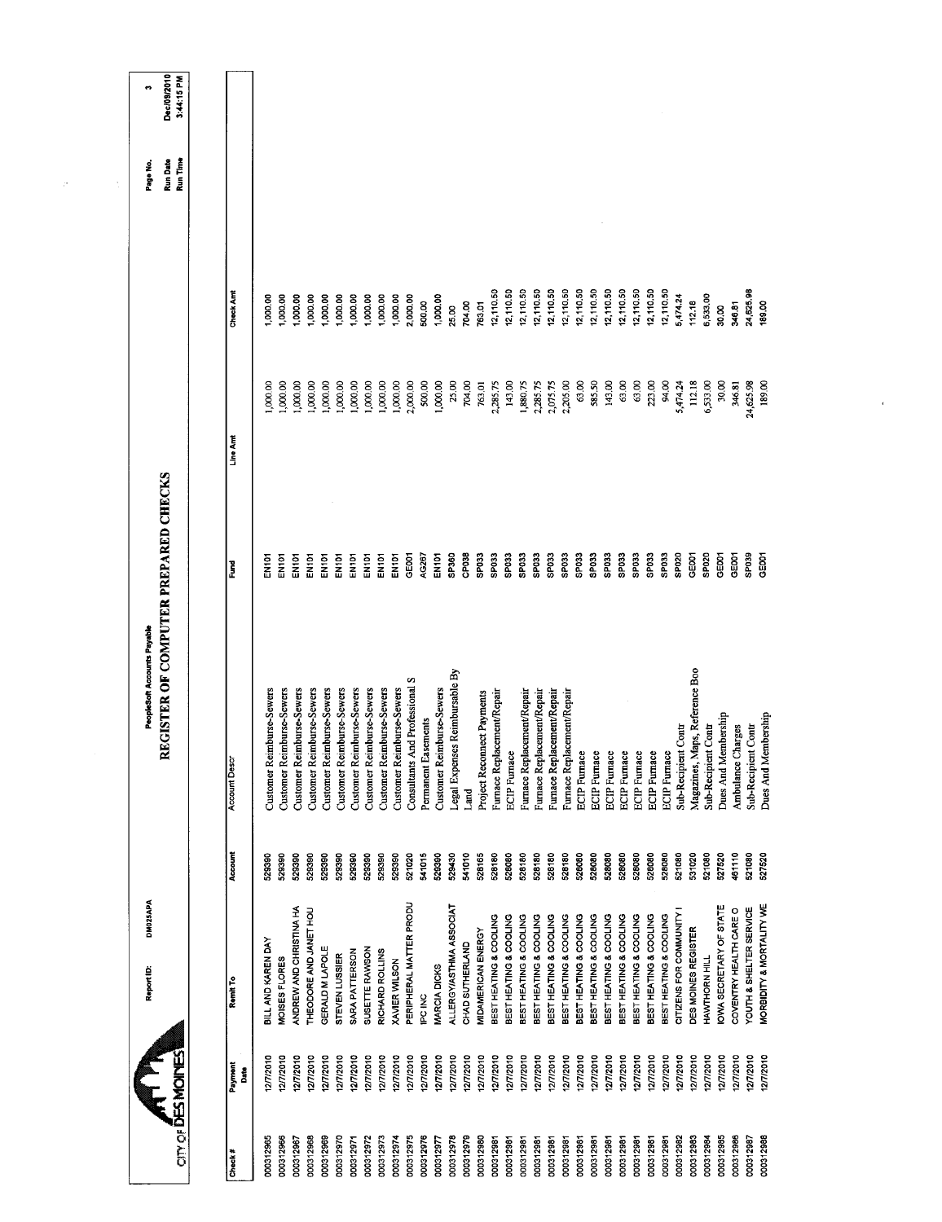|                                                  | DM025APA<br>Report ID:                            |                  | REGISTER OF COMPUTER PREPARED CHECKS<br>PeopleSoft Accounts Payable |                            |                      |                        | Run Date<br>Page No. | Dec/09/2010<br>n |
|--------------------------------------------------|---------------------------------------------------|------------------|---------------------------------------------------------------------|----------------------------|----------------------|------------------------|----------------------|------------------|
| <b>CITY OF DES MOINES</b>                        |                                                   |                  |                                                                     |                            |                      |                        | Run Time             | 3:44:15 PM       |
| Payment<br>å<br>Check#                           | Remit To                                          | Account          | <b>Account Descr</b>                                                | š                          | Line Amt             | Check Am               |                      |                  |
| 12/7/2010<br>000312965                           | BILL AND KAREN DAY                                | 529390           | Customer Reimburse-Sewers                                           | 더 PD<br>이 시                | 1,000.00             | 1,000.00               |                      |                  |
| 12/7/2010<br>000312966                           | MOISES FLORES                                     | 529390           | Customer Reimburse-Sewers                                           | EN <sub>101</sub>          | 1,000.00             | 1,000,00               |                      |                  |
| 12/7/2010<br>000312967                           | ANDREW AND CHRISTINA HA                           | 529390           | Customer Reimburse-Sewers                                           | EN101                      | 1,000.00             | 1,000.00               |                      |                  |
| 127/2010<br>000312968                            | THEODORE AND JANET HOU                            | 529390           | Customer Reimburse-Sewers                                           | EN101                      | 1,000.00             | 1,000.00               |                      |                  |
| 12/7/2010<br>000312969                           | GERALD M LAPOLE                                   | 529390           | Customer Reimburse-Sewers                                           | EN101                      | 1,000.00             | 1,000.00               |                      |                  |
| 12/7/2010<br>000312970<br>000312971              | SARA PATTERSON<br>STEVEN LUSSIER                  | 529390<br>529390 | Customer Reimburse-Sewers                                           | EN101<br>EN <sub>101</sub> | 1,000.00             | 1,000.00<br>1,000.00   |                      |                  |
| 12/7/2010<br>12772010<br>000312972               | SUSETTE RAWSON                                    | 529390           | Customer Reimburse-Sewers<br>Customer Reimburse-Sewers              | EN101                      | 1,000.00<br>1,000.00 | 1,000.00               |                      |                  |
| 12/7/2010<br>000312973                           | RICHARD ROLLINS                                   | 529390           | Customer Reimburse-Sewers                                           | EN <sub>101</sub>          | 1,000.00             | 1,000.00               |                      |                  |
| 127/2010<br>000312974                            | XAVIER WILSON                                     | 529390           | Customer Reimburse-Sewers                                           | EN101                      | 1,000.00             | 1,000.00               |                      |                  |
| 12/7/2010<br>000312975                           | PERIPHERAL MATTER PRODU                           | 521020           | Consultants And Professional S                                      | GEOOT                      | 2,000.00             | 2,000.00               |                      |                  |
| 12/7/2010<br>000312976                           | IPC INC                                           | 541015           | Permanent Easements                                                 | AG267                      | 500.00               | 500.00                 |                      |                  |
| 12/7/2010<br>1277/2010<br>000312978<br>000312977 | ALLERGY/ASTHMA ASSOCIAT<br>MARCIA DICKS           | 529390<br>529430 | Customer Reimburse-Sewers                                           | EN101<br>SP360             | 1,000.00<br>25.00    | 1,000.00<br>25.00      |                      |                  |
| 12/7/2010<br>000312979                           | CHAD SUTHERLAND                                   | 541010           | Legal Expenses Reimbursable By<br>Land                              | CP038                      | 704.00               | 704.00                 |                      |                  |
| 12/1/2010<br>000312980                           | MIDAMERICAN ENERGY                                | 528165           | Project Reconnect Payments                                          | SPO33                      | 763.01               | 763.01                 |                      |                  |
| 12/7/2010<br>000312981                           | BEST HEATING & COOLING                            | 528180           | Furnace Replacement/Repair                                          | SPO33                      | 2,285.75             | 12,110.50              |                      |                  |
| 12/7/2010<br>000312981                           | BEST HEATING & COOLING                            | 528080           | <b>ECIP</b> Furnace                                                 | SP033                      | 143.00               | 12,110.50              |                      |                  |
| 12/7/2010<br>12/7/2010<br>000312981<br>000312981 | BEST HEATING & COOLING<br>BEST HEATING & COOLING  | 528180<br>528180 | Furnace Replacement/Repair                                          | SPO33<br>SPO33             | 1,880.75<br>2,285.75 | 12,110.50<br>12,110.50 |                      |                  |
| 12/7/2010<br>000312981                           | BEST HEATING & COOLING                            | 528180           | Furnace Replacement/Repair<br>Furnace Replacement/Repair            | SP033                      | 2,075.75             | 12,110.50              |                      |                  |
| 12/7/2010<br>000312981                           | BEST HEATING & COOLING                            | 528180           | Furnace Replacement/Repair                                          | SP <sub>033</sub>          | 2,205.00             | 12,110.50              |                      |                  |
| 2772010<br>000312981                             | BEST HEATING & COOLING                            | 528080           | <b>ECIP</b> Furnace                                                 | SPO33                      | 63.00                | 12,110.50              |                      |                  |
| 12/7/2010<br>000312981                           | BEST HEATING & COOLING                            | 528080<br>528080 | <b>ECIP</b> Furnace                                                 | SP <sub>033</sub><br>SPO33 | 585.50               | 12,110.50              |                      |                  |
| 12/7/2010<br>000312981<br>000312981              | BEST HEATING & COOLING<br>BEST HEATING & COOLING  | 528080           | <b>ECIP</b> Furnace                                                 | SP <sub>033</sub>          | 143.00               | 12,110.50<br>12,110.50 |                      |                  |
| 12/7/2010<br>12/7/2010<br>000312981              | BEST HEATING & COOLING                            | 528080           | <b>ECIP</b> Furnace<br><b>ECIP</b> Furnace                          | SP033                      | 63.00<br>63.00       | 12,110.50              |                      |                  |
| 12772010<br>000312981                            | BEST HEATING & COOLING                            | 528080           | <b>ECIP</b> Furnace                                                 | SPO33                      | 223.00               | 12,110.50              |                      |                  |
| 12/7/2010<br>000312981                           | BEST HEATING & COOLING                            | 528080           | <b>ECIP</b> Furnace                                                 | SPO33                      | 94.00                | 12,110.50              |                      |                  |
| 1277/2010<br>000312982                           | CITIZENS FOR COMMUNITY                            | 521080           | Sub-Recipient Contr                                                 | SP020                      | 5,474.24             | 5,474.24               |                      |                  |
| 12772010<br>000312983                            | DES MOINES REGISTER                               | 531020           | Magazines, Maps, Reference Boo                                      | GE001                      | 112.18               | 112.18                 |                      |                  |
| 12/7/2010<br>000312984                           | HAVATHORN HILL                                    | 521080           | Sub-Recipient Contr                                                 | SP020                      | 6,533.00             | 6,533.00               |                      |                  |
| 127/2010<br>000312985                            | <b>IOWA SECRETARY OF STATE</b>                    | 527520           | Dues And Membership                                                 | GE001                      | 30.00                | 30.00                  |                      |                  |
| 12/7/2010<br>2772010<br>000312986<br>000312987   | YOUTH & SHELTER SERVICE<br>COVENTRY HEALTH CARE O | 461110<br>521080 | Ambulance Charges<br>Sub-Recipient Contr                            | SP039<br>GE001             | 346.81<br>24,625.98  | 346.81                 |                      |                  |
|                                                  |                                                   |                  |                                                                     |                            |                      | 24,625.98              |                      |                  |

 $\label{eq:2.1} \mathcal{L} = \frac{1}{2} \sum_{i=1}^n \frac{1}{2} \sum_{j=1}^n \frac{1}{2} \sum_{j=1}^n \frac{1}{2} \sum_{j=1}^n \frac{1}{2} \sum_{j=1}^n \frac{1}{2} \sum_{j=1}^n \frac{1}{2} \sum_{j=1}^n \frac{1}{2} \sum_{j=1}^n \frac{1}{2} \sum_{j=1}^n \frac{1}{2} \sum_{j=1}^n \frac{1}{2} \sum_{j=1}^n \frac{1}{2} \sum_{j=1}^n \frac{1}{2} \sum_{j=$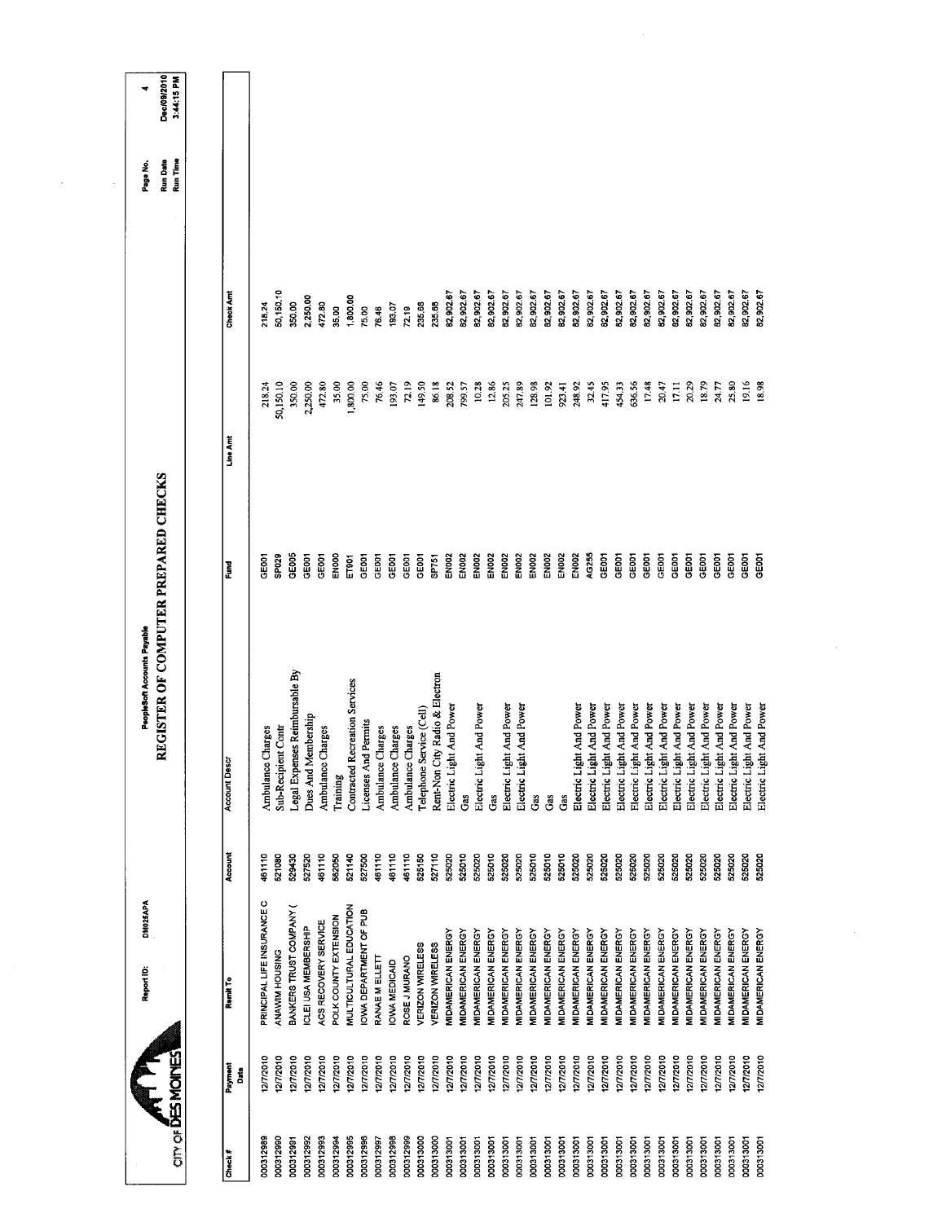|                                      |                                |                   |           |           | Run Time | 3:44:15 PM |
|--------------------------------------|--------------------------------|-------------------|-----------|-----------|----------|------------|
|                                      |                                |                   |           |           |          |            |
| Account                              | <b>Account Descr</b>           | Ě                 | Line Arrt | Check Amt |          |            |
|                                      |                                |                   |           |           |          |            |
| 461110<br>PRINCIPAL LIFE INSURANCE C | Ambulance Charges              | <b>GEOOT</b>      | 218.24    | 218.24    |          |            |
| 521080                               | Sub-Recipient Contr            | SP029             | 50,150.10 | 50,150.10 |          |            |
| 529430                               | Legal Expenses Reimbursable By | GE005             | 350.00    | 350.00    |          |            |
| 527520                               | Dues And Membership            | <b>GEOOT</b>      | 2,250.00  | 2,250.00  |          |            |
| 461110                               | Ambulance Charges              | GE001             | 472.80    | 472.80    |          |            |
| 562050                               | Training                       | ENOOD             | 35.00     | 35.00     |          |            |
| 521140                               | Contracted Recreation Services | ET901             | 1,800.00  | 1,800,00  |          |            |
| 527500                               | Licenses And Permits           | GE001             | 75.00     | 75.00     |          |            |
| 461110                               | Ambulance Charges              | GEDOT             | 76.46     | 76.46     |          |            |
| 461110                               | Ambulance Charges              | GEDOT             | 193.07    | 193.07    |          |            |
| 461110                               | Ambulance Charges              | GE001             | 72.19     | 72.19     |          |            |
| 525150                               | Telephone Service (Cell)       | GEOOT             | 149.50    | 235.68    |          |            |
| 527110                               | Rent-Non City Radio & Electron | SP751             | 86.18     | 235.68    |          |            |
| 525020                               | Electric Light And Power       | EN <sub>002</sub> | 208.52    | 82,902.67 |          |            |
| 525010                               | Gas                            | EN002             | 799.57    | 82,902.67 |          |            |
| 525020                               | Electric Light And Power       | <b>EN002</b>      | 10.28     | 82,902.67 |          |            |
| 525010                               | Gas                            | EN <sub>002</sub> | 12.86     | 82,902.67 |          |            |
| 525020                               | Electric Light And Power       | EN002             | 205,25    | 82,902.67 |          |            |
| 525020                               | Electric Light And Power       | EN <sub>002</sub> | 247.89    | 82,902.67 |          |            |
| 525010                               | Gas                            | <b>EN002</b>      | 128.98    | 82,902.67 |          |            |
| 525010                               | Gas                            | <b>EN002</b>      | 101.92    | 82,902.67 |          |            |
| 525010                               | Gas                            | EN <sub>002</sub> | 923.41    | 82,902.67 |          |            |
| 525020                               | Electric Light And Power       | EN002             | 248.92    | 82,902.67 |          |            |
| 525020                               | Electric Light And Power       | AG255             | 32.45     | 82,902.67 |          |            |
| 525020                               | Electric Light And Power       | GE001             | 417.95    | 82,902.67 |          |            |
| 525020                               | Electric Light And Power       | GE001             | 454.33    | 82,902.67 |          |            |
| 525020                               | Electric Light And Power       | GE001             | 636.56    | 82,902.67 |          |            |
| 525020                               | Electric Light And Power       | GE001             | 17.48     | 82,902.67 |          |            |
| 525020                               | Electric Light And Power       | GEOOT             | 20.47     | 82,902.67 |          |            |
| 525020                               | Electric Light And Power       | GEOO1             | 17.11     | 82,902.67 |          |            |
| 525020                               | Electric Light And Power       | GEOOT             | 20.29     | 62,902.67 |          |            |
| 525020                               | Electric Light And Power       | GEOOT             | 18.79     | 82,902.67 |          |            |
| 525020                               | Electric Light And Power       | GE001             | 24.77     | 82,902.67 |          |            |
| 525020                               | Electric Light And Power       | GE001             | 25.80     | 82,902.67 |          |            |
| 525020                               | Electric Light And Power       | <b>GEOOT</b>      | 19.16     | 82,902.67 |          |            |
| 525020                               | Electric Light And Power       | GEOCI             | 18,98     | 82,902.67 |          |            |

 $\frac{1}{2} \sum_{i=1}^n \frac{1}{i} \sum_{j=1}^n \frac{1}{j}$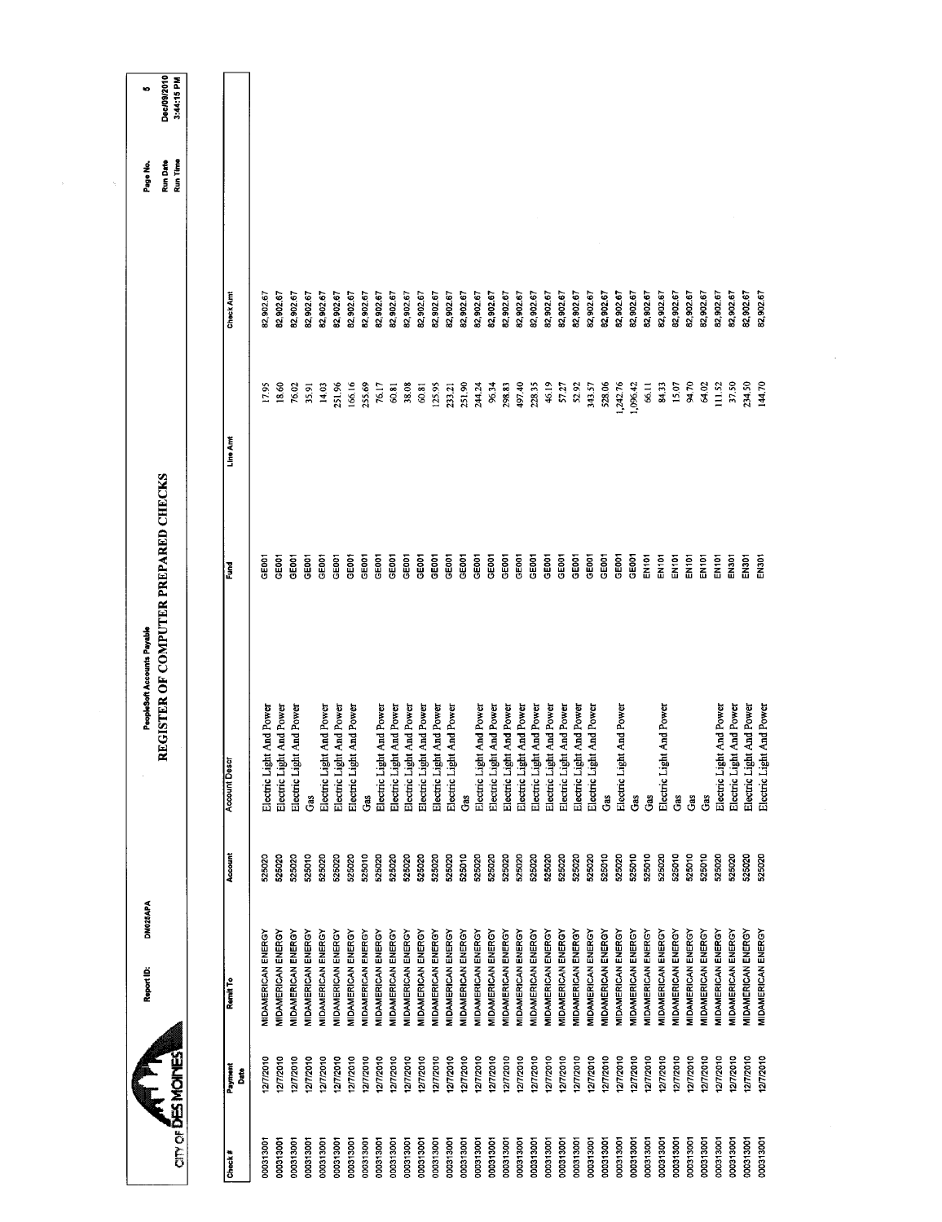| Electric Light And Power<br><b>Account Descr</b> | ូ <sub>និ</sub><br>Gas<br>Account<br>525020<br>525010<br>525010<br>525020<br>525020<br>525020<br>525020<br>525020<br>525020<br>525020<br>525020 | MIDAMERICAN ENERGY<br>MIDAMERICAN ENERGY<br>MIDAMERICAN ENERGY<br>MIDAMERICAN ENERGY<br>MIDAMERICAN ENERGY<br>MIDAMERICAN ENERGY<br>MIDAMERICAN ENERGY<br><b>MIDAMERICAN ENERGY</b><br>MIDAMERICAN ENERGY<br>MIDAMERICAN ENERGY<br>MIDAMERICAN ENERGY<br><b>MIDAMERICAN ENERGY</b><br>MIDAMERICAN ENERGY<br>MIDAMERICAN ENERGY<br><b>MIDAMERICAN ENERGY</b><br>MIDAMERICAN ENERGY<br>MIDAMERICAN ENERGY<br>MIDAMERICAN ENERGY |
|--------------------------------------------------|-------------------------------------------------------------------------------------------------------------------------------------------------|-------------------------------------------------------------------------------------------------------------------------------------------------------------------------------------------------------------------------------------------------------------------------------------------------------------------------------------------------------------------------------------------------------------------------------|
|                                                  |                                                                                                                                                 | Ĝ.<br>525010<br>525020<br>525020<br>525020<br>525020<br>525020<br>525020                                                                                                                                                                                                                                                                                                                                                      |
|                                                  |                                                                                                                                                 |                                                                                                                                                                                                                                                                                                                                                                                                                               |
|                                                  |                                                                                                                                                 | Electric Light And Power                                                                                                                                                                                                                                                                                                                                                                                                      |
|                                                  |                                                                                                                                                 | Electric Light And Power<br>Electric Light And Power                                                                                                                                                                                                                                                                                                                                                                          |
|                                                  |                                                                                                                                                 |                                                                                                                                                                                                                                                                                                                                                                                                                               |
|                                                  |                                                                                                                                                 |                                                                                                                                                                                                                                                                                                                                                                                                                               |
|                                                  |                                                                                                                                                 | Electric Light And Power                                                                                                                                                                                                                                                                                                                                                                                                      |
|                                                  |                                                                                                                                                 | Electric Light And Power                                                                                                                                                                                                                                                                                                                                                                                                      |
|                                                  |                                                                                                                                                 | Electric Light And Power                                                                                                                                                                                                                                                                                                                                                                                                      |
|                                                  |                                                                                                                                                 |                                                                                                                                                                                                                                                                                                                                                                                                                               |
|                                                  |                                                                                                                                                 | Electric Light And Power                                                                                                                                                                                                                                                                                                                                                                                                      |
|                                                  |                                                                                                                                                 | Electric Light And Power                                                                                                                                                                                                                                                                                                                                                                                                      |
|                                                  |                                                                                                                                                 | Electric Light And Power                                                                                                                                                                                                                                                                                                                                                                                                      |
|                                                  |                                                                                                                                                 | Electric Light And Power                                                                                                                                                                                                                                                                                                                                                                                                      |
|                                                  |                                                                                                                                                 | Electric Light And Power                                                                                                                                                                                                                                                                                                                                                                                                      |
|                                                  |                                                                                                                                                 | Electric Light And Power<br>Electric Light And Power                                                                                                                                                                                                                                                                                                                                                                          |
|                                                  |                                                                                                                                                 |                                                                                                                                                                                                                                                                                                                                                                                                                               |
|                                                  |                                                                                                                                                 |                                                                                                                                                                                                                                                                                                                                                                                                                               |
|                                                  |                                                                                                                                                 |                                                                                                                                                                                                                                                                                                                                                                                                                               |
|                                                  | Electric Light And Power                                                                                                                        |                                                                                                                                                                                                                                                                                                                                                                                                                               |
|                                                  |                                                                                                                                                 | Electric Light And Power<br>525020                                                                                                                                                                                                                                                                                                                                                                                            |
|                                                  |                                                                                                                                                 | Electric Light And Power<br>525020                                                                                                                                                                                                                                                                                                                                                                                            |
|                                                  |                                                                                                                                                 | Electric Light And Power<br>525020                                                                                                                                                                                                                                                                                                                                                                                            |
|                                                  |                                                                                                                                                 | Electric Light And Power<br>525020<br>525020                                                                                                                                                                                                                                                                                                                                                                                  |
|                                                  |                                                                                                                                                 | Electric Light And Power<br>Electric Light And Power<br>525020                                                                                                                                                                                                                                                                                                                                                                |
|                                                  |                                                                                                                                                 | Ĝ.<br>525010                                                                                                                                                                                                                                                                                                                                                                                                                  |
|                                                  |                                                                                                                                                 | Electric Light And Power<br>525020                                                                                                                                                                                                                                                                                                                                                                                            |
|                                                  |                                                                                                                                                 | Ğ<br>525010                                                                                                                                                                                                                                                                                                                                                                                                                   |
|                                                  |                                                                                                                                                 | Ĝã<br>525010                                                                                                                                                                                                                                                                                                                                                                                                                  |
|                                                  |                                                                                                                                                 | Electric Light And Power<br>525020                                                                                                                                                                                                                                                                                                                                                                                            |
|                                                  |                                                                                                                                                 | Gas<br>525010                                                                                                                                                                                                                                                                                                                                                                                                                 |
|                                                  |                                                                                                                                                 | Gas<br>525010                                                                                                                                                                                                                                                                                                                                                                                                                 |
|                                                  |                                                                                                                                                 | Gas<br>525010                                                                                                                                                                                                                                                                                                                                                                                                                 |
|                                                  |                                                                                                                                                 | Electric Light And Power<br>525020                                                                                                                                                                                                                                                                                                                                                                                            |
|                                                  |                                                                                                                                                 | Electric Light And Power<br>525020                                                                                                                                                                                                                                                                                                                                                                                            |
|                                                  |                                                                                                                                                 | Electric Light And Power<br>525020                                                                                                                                                                                                                                                                                                                                                                                            |
|                                                  |                                                                                                                                                 | Electric Light And Power<br>525020                                                                                                                                                                                                                                                                                                                                                                                            |

 $\mathcal{A}^{\mathcal{A}}$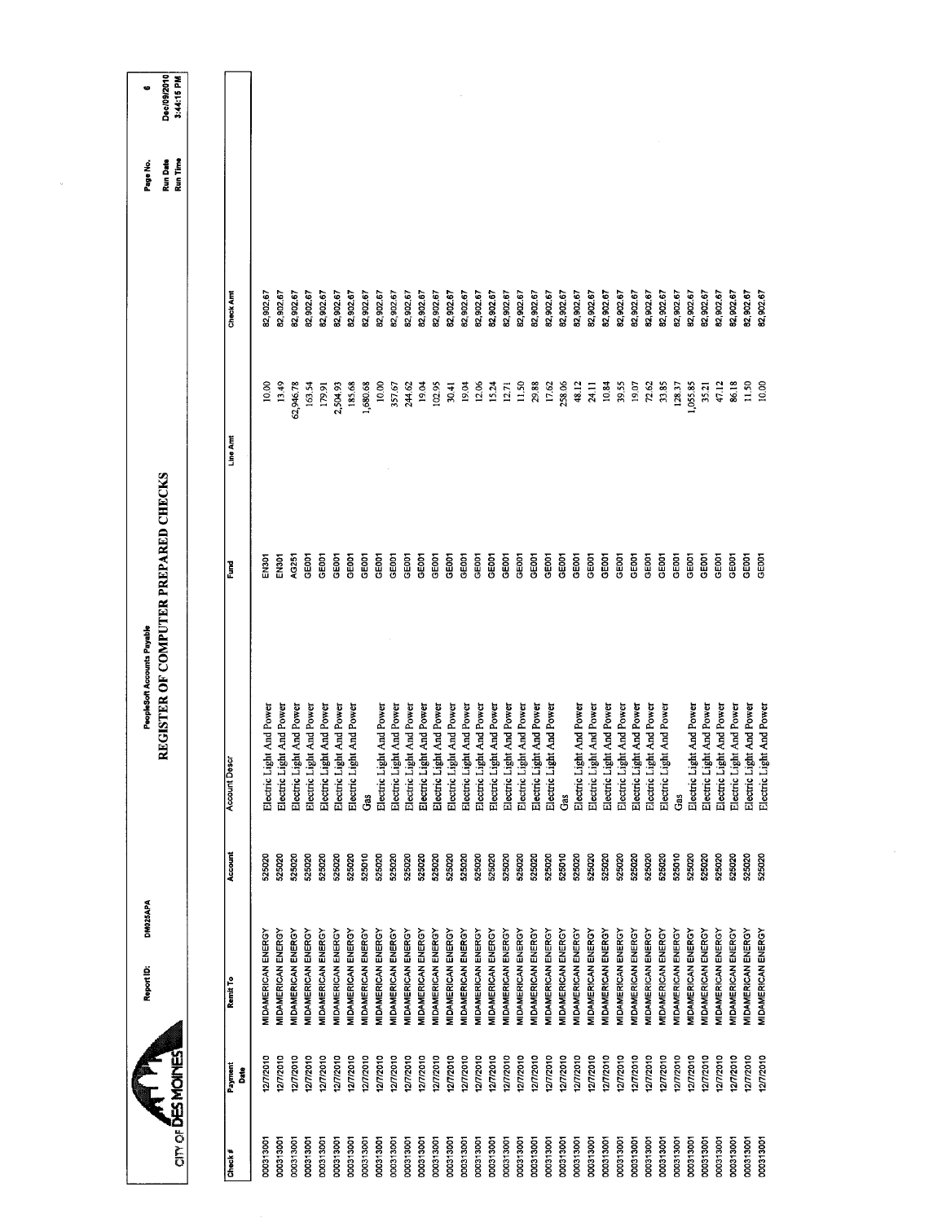|                          |              | DM025APA<br>Report ID:           |         | PeopleSoft Accounts Payable          |              |           |           | Page No.             | ¢                         |
|--------------------------|--------------|----------------------------------|---------|--------------------------------------|--------------|-----------|-----------|----------------------|---------------------------|
| <b>OTY OF DES MOINES</b> |              |                                  |         | REGISTER OF COMPUTER PREPARED CHECKS |              |           |           | Run Time<br>Run Date | Dec/09/2010<br>3:44:15 PM |
|                          |              |                                  |         |                                      |              |           |           |                      |                           |
| Check#                   | Payment<br>å | Remit To                         | Account | <b>Account Descr</b>                 | Ĕ            | Line Am   | Check Am  |                      |                           |
| 000313001                | 12772010     | <b>MIDAMERICAN ENERGY</b>        | 525020  | Electric Light And Power             | FN301        | 10.00     | 82,902.67 |                      |                           |
| 000313001                | 277/2010     | <b>MIDAMERICAN ENERGY</b>        | 525020  | Electric Light And Power             | EN301        | 13.49     | 82,902.67 |                      |                           |
| 000313001                | 2/7/2010     | <b>MIDAMERICAN ENERGY</b>        | 525020  | Electric Light And Power             | AG251        | 62,946.78 | 82,902.67 |                      |                           |
| 000313001                | 12/7/2010    | <b>MIDAMERICAN ENERGY</b>        | 525020  | Electric Light And Power             | GE001        | 163.54    | 62,902.67 |                      |                           |
| 000313001                | 12/7/2010    | MIDAMERICAN ENERGY               | 525020  | Electric Light And Power             | GE001        | 179.91    | 82,902.67 |                      |                           |
| 000313001                | 2/7/2010     | <b>MIDAMERICAN ENERGY</b>        | 525020  | Electric Light And Power             | GE001        | 2,504.93  | 82,902.67 |                      |                           |
| 000313001                | 127/2010     | MIDAMERICAN ENERGY               | 525020  | Electric Light And Power             | GE001        | 185.68    | 82,902.67 |                      |                           |
| 000313001                | 12/7/2010    | MIDAMERICAN ENERGY               | 525010  | Gas                                  | GE001        | 1,680.68  | 82,902.67 |                      |                           |
| 000313001                | 27/2010      | <b>MIDAMERICAN ENERGY</b>        | 525020  | Electric Light And Power             | GE001        | 10.00     | 82,902.67 |                      |                           |
| 000313001                | 127/2010     | MIDAMERICAN ENERGY               | 525020  | Electric Light And Power             | GE001        | 357.67    | 82,902.67 |                      |                           |
| 000313001                | 12772010     | <b>MIDAMERICAN ENERGY</b>        | 525020  | Electric Light And Power             | GEOOT        | 244.62    | 82,902.67 |                      |                           |
| 000313001                | 12/7/2010    | <b>MIDAMERICAN ENERGY</b>        | 525020  | Electric Light And Power             | GEOOT        | 19.04     | 82,902.67 |                      |                           |
| 000313001                | 12/7/2010    | MIDAMERICAN ENERGY               | 525020  | Electric Light And Power             | GE001        | 102.95    | 82,902.67 |                      |                           |
| 000313001                | 12/7/2010    | <b>MIDAMERICAN ENERGY</b>        | 525020  | Electric Light And Power             | GE001        | 30.41     | 82,902.67 |                      |                           |
| 000313001                | 12/7/2010    | MIDAMERICAN ENERGY               | 525020  | Electric Light And Power             | GE001        | 19.04     | 82,902.67 |                      |                           |
| 000313001                | 12/7/2010    | <b>MIDAMERICAN ENERGY</b>        | 525020  | Electric Light And Power             | GEOOT        | 12,06     | 82,902.67 |                      |                           |
| 000313001                | 12/7/2010    | <b>MIDAMERICAN ENERGY</b>        | 525020  | Electric Light And Power             | GE001        | 15.24     | 82,902.67 |                      |                           |
| 000313001                | 12/7/2010    | MIDAMERICAN ENERGY               | 525020  | Electric Light And Power             | GEOOT        | 12.71     | 82,902.67 |                      |                           |
| 000313001                | 127/2010     | <b>MIDAMERICAN ENERGY</b>        | 525020  | Electric Light And Power             | GE001        | 11,50     | 82,902.67 |                      |                           |
| 000313001                | 12/7/2010    | MIDAMERICAN ENERGY               | 525020  | Electric Light And Power             | GE001        | 29.88     | 82,902.67 |                      |                           |
| 000313001                | 12772010     | <b>MIDAMERICAN ENERGY</b>        | 525020  | Electric Light And Power             | GEOOT        | 17.62     | 82,902.67 |                      |                           |
| 000313001                | 2/7/2010     | <b>VIDAMERICAN ENERGY</b>        | 525010  | Ğ.                                   | GEOOT        | 258.06    | 82,902.67 |                      |                           |
| 000313001                | 12/7/2010    | MIDAMERICAN ENERGY               | 525020  | Electric Light And Power             | GEOOT        | 48.12     | 82,902.67 |                      |                           |
| 000313001                | 12/7/2010    | <b>VIDAMERICAN ENERGY</b>        | 525020  | Electric Light And Power             | CE001        | 24.11     | 82,902.67 |                      |                           |
| 000313001                | 12/7/2010    | <b>VIDAMERICAN ENERGY</b>        | 525020  | Electric Light And Power             | GE001        | 10.84     | 82,902.67 |                      |                           |
| 000313001                | 1277/2010    | <b>VIDAMERICAN ENERGY</b>        | 525020  | Electric Light And Power             | <b>GEOOT</b> | 3955      | 82,902.67 |                      |                           |
| 000313001                | 127/2010     | <b>VIDAMERICAN ENERGY</b>        | 525020  | Electric Light And Power             | GEOCI        | 19.07     | 82,902.67 |                      |                           |
| 000313001                | 12/7/2010    | <b><i>MIDAMERICAN ENERGY</i></b> | 525020  | Electric Light And Power             | GEOCI        | 72.62     | 82,902.67 |                      |                           |
| 000313001                | 1277/2010    | MIDAMERICAN ENERGY               | 525020  | Electric Light And Power             | GE001        | 33.85     | 82,902.67 |                      |                           |
| 000313001                | 12/7/2010    | <b>JIDAMERICAN ENERGY</b>        | 525010  | Gas                                  | <b>GEDO1</b> | 128.37    | 82,902.67 |                      |                           |
| 000313001                | 12/7/2010    | MIDAMERICAN ENERGY               | 525020  | Electric Light And Power             | GE001        | 1,055.85  | 82,902.67 |                      |                           |
| 000313001                | 12/7/2010    | MIDAMERICAN ENERGY               | 525020  | Electric Light And Power             | GE001        | 35.21     | 82,902.67 |                      |                           |
| 000313001                | 277/2010     | <b>VIDAMERICAN ENERGY</b>        | 525020  | Electric Light And Power             | GE001        | 47.12     | 82,902.67 |                      |                           |
| 000313001                | 12/7/2010    | MIDAMERICAN ENERGY               | 525020  | Electric Light And Power             | GE001        | 86.18     | 82,902.67 |                      |                           |
| 000313001                | 277/2010     | <b><i>AIDAMERICAN ENERGY</i></b> | 525020  | Electric Light And Power             | <b>GEOOT</b> | 11.50     | 32,902.67 |                      |                           |
| 000313001                | 2/7/2010     | <b>MIDAMERICAN ENERGY</b>        | 525020  | Electric Light And Power             | <b>GEOO1</b> | 10.00     | 82,902.67 |                      |                           |
|                          |              |                                  |         |                                      |              |           |           |                      |                           |

 $\tilde{g}$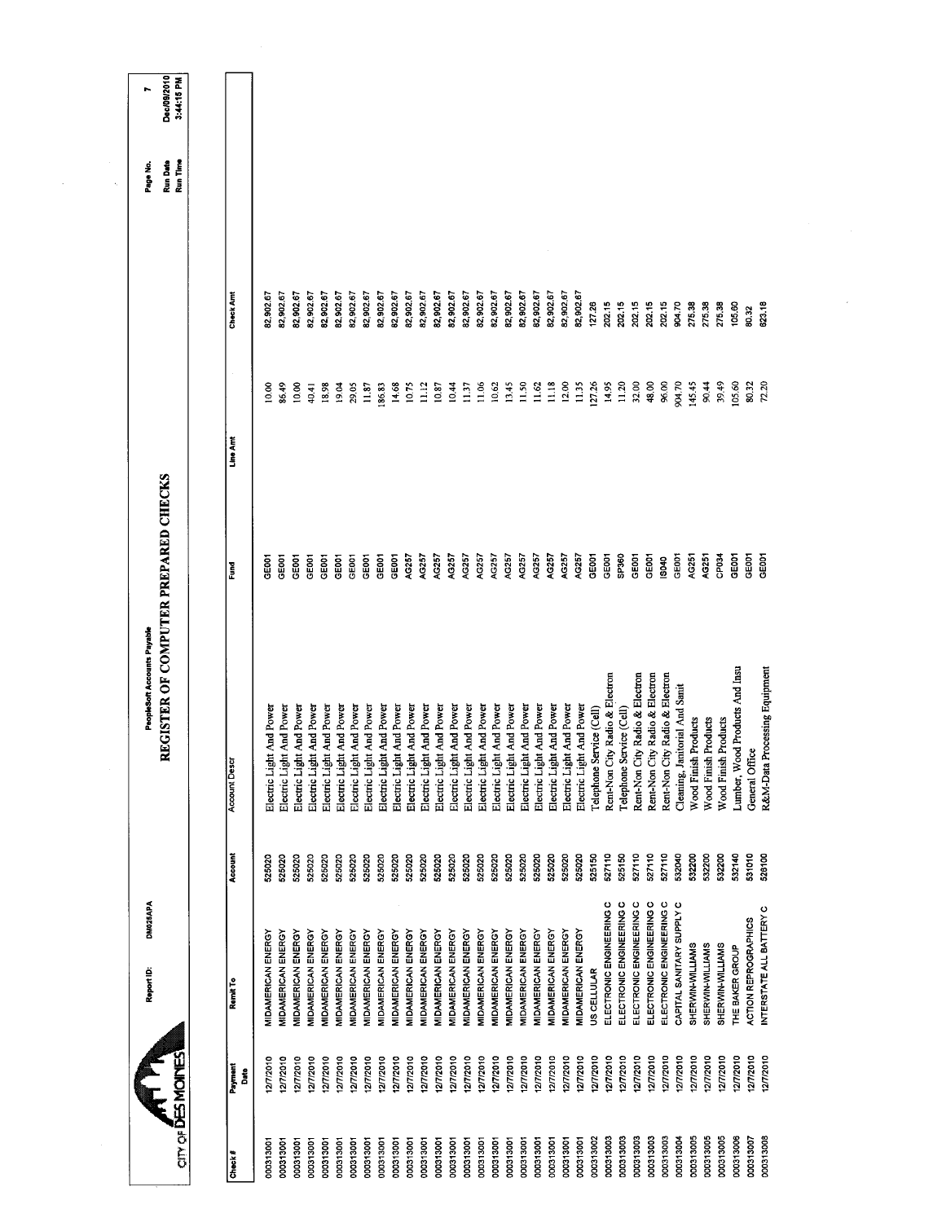| 82,902.67<br>82,902.67<br>82,902.67<br>82,902.67<br>82,902.67<br>82,902.67<br>82,902.67<br>82,902.67<br>82,902.67<br>82,902.67<br>82,902.67<br>82,902.67<br>82,902.67<br>82,902.67<br>82,902.67<br>82,902.67<br>82,902.67<br>82,902.67<br>82,902.67<br>82 902.67<br>Check Am<br>82,902.67<br>82,902.67<br>82,902.67<br>127.26<br>20215<br>202.15<br>202.15<br>202.15<br>202.15<br>275.38<br>904.70<br>275.38<br>275.38<br>105.60<br>623.18<br>80.32<br>12.00<br>127.26<br>11.20<br>11.06<br>13.45<br>11.50<br>11.62<br>11.18<br>11.35<br>14.95<br>32.00<br>48,00<br>96.00<br>904.70<br>39.49<br>72.20<br>10.00<br>14.68<br>10.75<br>11.12<br>10.87<br>10.44<br>10.62<br>145.45<br>105.60<br>86.49<br>40.41<br>18.98<br>19.04<br>29.05<br>11.87<br>186.83<br>11.37<br>90.44<br>80.32<br>10.00<br>Line Am<br>AG257<br>AG257<br>AG257<br>SP360<br>AG257<br>AG257<br>AG257<br>AG257<br>AG257<br>AG257<br>AG257<br>AG257<br>AG257<br>GE001<br>GEBOT<br>GEDO1<br>GEOCT<br>AG251<br>GEOOT<br>GE001<br>CE001<br>GE001<br>GE001<br>AG257<br>GEOCI<br>AG251<br>CPD34<br>GEOOT<br>GE001<br>GE001<br>GEOCI<br>GE001<br>GEOCT<br>GE001<br>පෙ<br>IS040<br>E<br>Lumber, Wood Products And Insu<br>R&M-Data Processing Equipment<br>Rent-Non City Radio & Electron<br>Rent-Non City Radio & Electron<br>Rent-Non City Radio & Electron<br>Rent-Non City Radio & Electron<br>Cleaning, Janitorial And Sanit<br>Electric Light And Power<br>Electric Light And Power<br>Electric Light And Power<br>Electric Light And Power<br>Electric Light And Power<br>Electric Light And Power<br>Electric Light And Power<br>Electric Light And Power<br>Electric Light And Power<br>Electric Light And Power<br>Electric Light And Power<br>Electric Light And Power<br>Electric Light And Power<br>Electric Light And Power<br>Electric Light And Power<br>Electric Light And Power<br>Electric Light And Power<br>Electric Light And Power<br>Electric Light And Power<br>Electric Light And Power<br>Telephone Service (Cell)<br>Electric Light And Power<br>Electric Light And Power<br>Electric Light And Power<br>Telephone Service (Cell)<br>Wood Finish Products<br>Wood Finish Products<br>Wood Finish Products<br>General Office<br><b>Account Desc</b><br>527110<br>532200<br>Account<br>525020<br>525020<br>525020<br>525020<br>525020<br>525020<br>525020<br>525150<br>527110<br>525150<br>527110<br>527110<br>532040<br>532200<br>532200<br>532140<br>531010<br>525020<br>525020<br>525020<br>525020<br>525020<br>525020<br>525020<br>525020<br>525020<br>525020<br>526100<br>525020<br>525020<br>525020<br>525020<br>525020<br>525020<br>ELECTRONIC ENGINEERING C<br>ELECTRONIC ENGINEERING C<br>ELECTRONIC ENGINEERING C<br>ELECTRONIC ENGINEERING C<br>ELECTRONIC ENGINEERING C<br>CAPITAL SANITARY SUPPLY C<br>INTERSTATE ALL BATTERY C<br><b>ACTION REPROGRAPHICS</b><br>MIDAMERICAN ENERGY<br>MIDAMERICAN ENERGY<br>MIDAMERICAN ENERGY<br><b>MIDAMERICAN ENERGY</b><br>MIDAMERICAN ENERGY<br>MIDAMERICAN ENERGY<br>MIDAMERICAN ENERGY<br>MIDAMERICAN ENERGY<br>MIDAMERICAN ENERGY<br><b>MIDAMERICAN ENERGY</b><br>MIDAMERICAN ENERGY<br>MIDAMERICAN ENERGY<br>MIDAMERICAN ENERGY<br><b>MIDAMERICAN ENERGY</b><br>MIDAMERICAN ENERGY<br><b>MIDAMERICAN ENERGY</b><br>MIDAMERICAN ENERGY<br><b>MIDAMERICAN ENERGY</b><br>MIDAMERICAN ENERGY<br>MIDAMERICAN ENERGY<br>MIDAMERICAN ENERGY<br>MIDAMERICAN ENERGY<br><b>MIDAMERICAN ENERGY</b><br>SHERWIN-WILLIAMS<br>SHERWIN-WILLIAMS<br>SHERWIN-WILLIAMS<br>THE BAKER GROUP<br>US CELLULAR<br>Remit To<br>12/7/2010<br>12/7/2010<br>12/7/2010<br>12/7/2010<br>12772010<br>12/7/2010<br>1277/2010<br>12/7/2010<br>12/7/2010<br>12/7/2010<br>12/7/2010<br>12/1/2010<br>127/2010<br>12/7/2010<br>12/7/2010<br>12/7/2010<br>12/7/2010<br>12/7/2010<br>12/7/2010<br>12/7/2010<br>12/7/2010<br>12/7/2010<br>12/7/2010<br>12/7/2010<br>12/7/2010<br>12/7/2010<br>127/2010<br>12/7/2010<br>12/7/2010<br>12/7/2010<br>12/7/2010<br>12/7/2010<br>12/7/2010<br>12/7/2010<br>12/7/2010<br>12/7/2010<br>Payment<br>និ |  | <b>CITY OF DES MOINES</b> | DM025APA<br>Report ID: | REGISTER OF COMPUTER PREPARED CHECKS<br>PeopleSoft Accounts Payable |  | Run Date<br>Run Time<br>Page No. | Dec/09/2010<br>3:44:15 PM |
|------------------------------------------------------------------------------------------------------------------------------------------------------------------------------------------------------------------------------------------------------------------------------------------------------------------------------------------------------------------------------------------------------------------------------------------------------------------------------------------------------------------------------------------------------------------------------------------------------------------------------------------------------------------------------------------------------------------------------------------------------------------------------------------------------------------------------------------------------------------------------------------------------------------------------------------------------------------------------------------------------------------------------------------------------------------------------------------------------------------------------------------------------------------------------------------------------------------------------------------------------------------------------------------------------------------------------------------------------------------------------------------------------------------------------------------------------------------------------------------------------------------------------------------------------------------------------------------------------------------------------------------------------------------------------------------------------------------------------------------------------------------------------------------------------------------------------------------------------------------------------------------------------------------------------------------------------------------------------------------------------------------------------------------------------------------------------------------------------------------------------------------------------------------------------------------------------------------------------------------------------------------------------------------------------------------------------------------------------------------------------------------------------------------------------------------------------------------------------------------------------------------------------------------------------------------------------------------------------------------------------------------------------------------------------------------------------------------------------------------------------------------------------------------------------------------------------------------------------------------------------------------------------------------------------------------------------------------------------------------------------------------------------------------------------------------------------------------------------------------------------------------------------------------------------------------------------------------------------------------------------------------------------------------------------------------------------------------------------------------------------------------------------------------------------------------------------------------------------------------------------------------------------------------------------------------------------------------------------------------------------------------------------------------------------------------------------------------------------------------------------------------------------------------------------------------------------------------------------------------------------------------------------------------------------------------------------------------------------------------------------------------------------------------------|--|---------------------------|------------------------|---------------------------------------------------------------------|--|----------------------------------|---------------------------|
| 000313008<br>000313003<br>000313001<br>000313001<br>000313001<br>000313001<br>000313001<br>000313001<br>000313001<br>000313001<br>000313001                                                                                                                                                                                                                                                                                                                                                                                                                                                                                                                                                                                                                                                                                                                                                                                                                                                                                                                                                                                                                                                                                                                                                                                                                                                                                                                                                                                                                                                                                                                                                                                                                                                                                                                                                                                                                                                                                                                                                                                                                                                                                                                                                                                                                                                                                                                                                                                                                                                                                                                                                                                                                                                                                                                                                                                                                                                                                                                                                                                                                                                                                                                                                                                                                                                                                                                                                                                                                                                                                                                                                                                                                                                                                                                                                                                                                                                                                                    |  | Check#                    |                        |                                                                     |  |                                  |                           |
|                                                                                                                                                                                                                                                                                                                                                                                                                                                                                                                                                                                                                                                                                                                                                                                                                                                                                                                                                                                                                                                                                                                                                                                                                                                                                                                                                                                                                                                                                                                                                                                                                                                                                                                                                                                                                                                                                                                                                                                                                                                                                                                                                                                                                                                                                                                                                                                                                                                                                                                                                                                                                                                                                                                                                                                                                                                                                                                                                                                                                                                                                                                                                                                                                                                                                                                                                                                                                                                                                                                                                                                                                                                                                                                                                                                                                                                                                                                                                                                                                                                |  |                           |                        |                                                                     |  |                                  |                           |
|                                                                                                                                                                                                                                                                                                                                                                                                                                                                                                                                                                                                                                                                                                                                                                                                                                                                                                                                                                                                                                                                                                                                                                                                                                                                                                                                                                                                                                                                                                                                                                                                                                                                                                                                                                                                                                                                                                                                                                                                                                                                                                                                                                                                                                                                                                                                                                                                                                                                                                                                                                                                                                                                                                                                                                                                                                                                                                                                                                                                                                                                                                                                                                                                                                                                                                                                                                                                                                                                                                                                                                                                                                                                                                                                                                                                                                                                                                                                                                                                                                                |  |                           |                        |                                                                     |  |                                  |                           |
|                                                                                                                                                                                                                                                                                                                                                                                                                                                                                                                                                                                                                                                                                                                                                                                                                                                                                                                                                                                                                                                                                                                                                                                                                                                                                                                                                                                                                                                                                                                                                                                                                                                                                                                                                                                                                                                                                                                                                                                                                                                                                                                                                                                                                                                                                                                                                                                                                                                                                                                                                                                                                                                                                                                                                                                                                                                                                                                                                                                                                                                                                                                                                                                                                                                                                                                                                                                                                                                                                                                                                                                                                                                                                                                                                                                                                                                                                                                                                                                                                                                |  |                           |                        |                                                                     |  |                                  |                           |
|                                                                                                                                                                                                                                                                                                                                                                                                                                                                                                                                                                                                                                                                                                                                                                                                                                                                                                                                                                                                                                                                                                                                                                                                                                                                                                                                                                                                                                                                                                                                                                                                                                                                                                                                                                                                                                                                                                                                                                                                                                                                                                                                                                                                                                                                                                                                                                                                                                                                                                                                                                                                                                                                                                                                                                                                                                                                                                                                                                                                                                                                                                                                                                                                                                                                                                                                                                                                                                                                                                                                                                                                                                                                                                                                                                                                                                                                                                                                                                                                                                                |  |                           |                        |                                                                     |  |                                  |                           |
|                                                                                                                                                                                                                                                                                                                                                                                                                                                                                                                                                                                                                                                                                                                                                                                                                                                                                                                                                                                                                                                                                                                                                                                                                                                                                                                                                                                                                                                                                                                                                                                                                                                                                                                                                                                                                                                                                                                                                                                                                                                                                                                                                                                                                                                                                                                                                                                                                                                                                                                                                                                                                                                                                                                                                                                                                                                                                                                                                                                                                                                                                                                                                                                                                                                                                                                                                                                                                                                                                                                                                                                                                                                                                                                                                                                                                                                                                                                                                                                                                                                |  |                           |                        |                                                                     |  |                                  |                           |
|                                                                                                                                                                                                                                                                                                                                                                                                                                                                                                                                                                                                                                                                                                                                                                                                                                                                                                                                                                                                                                                                                                                                                                                                                                                                                                                                                                                                                                                                                                                                                                                                                                                                                                                                                                                                                                                                                                                                                                                                                                                                                                                                                                                                                                                                                                                                                                                                                                                                                                                                                                                                                                                                                                                                                                                                                                                                                                                                                                                                                                                                                                                                                                                                                                                                                                                                                                                                                                                                                                                                                                                                                                                                                                                                                                                                                                                                                                                                                                                                                                                |  |                           |                        |                                                                     |  |                                  |                           |
|                                                                                                                                                                                                                                                                                                                                                                                                                                                                                                                                                                                                                                                                                                                                                                                                                                                                                                                                                                                                                                                                                                                                                                                                                                                                                                                                                                                                                                                                                                                                                                                                                                                                                                                                                                                                                                                                                                                                                                                                                                                                                                                                                                                                                                                                                                                                                                                                                                                                                                                                                                                                                                                                                                                                                                                                                                                                                                                                                                                                                                                                                                                                                                                                                                                                                                                                                                                                                                                                                                                                                                                                                                                                                                                                                                                                                                                                                                                                                                                                                                                |  |                           |                        |                                                                     |  |                                  |                           |
| 000313001<br>000313001<br>000313001<br>000313001<br>000313001<br>000313001<br>000313001                                                                                                                                                                                                                                                                                                                                                                                                                                                                                                                                                                                                                                                                                                                                                                                                                                                                                                                                                                                                                                                                                                                                                                                                                                                                                                                                                                                                                                                                                                                                                                                                                                                                                                                                                                                                                                                                                                                                                                                                                                                                                                                                                                                                                                                                                                                                                                                                                                                                                                                                                                                                                                                                                                                                                                                                                                                                                                                                                                                                                                                                                                                                                                                                                                                                                                                                                                                                                                                                                                                                                                                                                                                                                                                                                                                                                                                                                                                                                        |  | 000313001                 |                        |                                                                     |  |                                  |                           |
|                                                                                                                                                                                                                                                                                                                                                                                                                                                                                                                                                                                                                                                                                                                                                                                                                                                                                                                                                                                                                                                                                                                                                                                                                                                                                                                                                                                                                                                                                                                                                                                                                                                                                                                                                                                                                                                                                                                                                                                                                                                                                                                                                                                                                                                                                                                                                                                                                                                                                                                                                                                                                                                                                                                                                                                                                                                                                                                                                                                                                                                                                                                                                                                                                                                                                                                                                                                                                                                                                                                                                                                                                                                                                                                                                                                                                                                                                                                                                                                                                                                |  |                           |                        |                                                                     |  |                                  |                           |
|                                                                                                                                                                                                                                                                                                                                                                                                                                                                                                                                                                                                                                                                                                                                                                                                                                                                                                                                                                                                                                                                                                                                                                                                                                                                                                                                                                                                                                                                                                                                                                                                                                                                                                                                                                                                                                                                                                                                                                                                                                                                                                                                                                                                                                                                                                                                                                                                                                                                                                                                                                                                                                                                                                                                                                                                                                                                                                                                                                                                                                                                                                                                                                                                                                                                                                                                                                                                                                                                                                                                                                                                                                                                                                                                                                                                                                                                                                                                                                                                                                                |  |                           |                        |                                                                     |  |                                  |                           |
|                                                                                                                                                                                                                                                                                                                                                                                                                                                                                                                                                                                                                                                                                                                                                                                                                                                                                                                                                                                                                                                                                                                                                                                                                                                                                                                                                                                                                                                                                                                                                                                                                                                                                                                                                                                                                                                                                                                                                                                                                                                                                                                                                                                                                                                                                                                                                                                                                                                                                                                                                                                                                                                                                                                                                                                                                                                                                                                                                                                                                                                                                                                                                                                                                                                                                                                                                                                                                                                                                                                                                                                                                                                                                                                                                                                                                                                                                                                                                                                                                                                |  |                           |                        |                                                                     |  |                                  |                           |
|                                                                                                                                                                                                                                                                                                                                                                                                                                                                                                                                                                                                                                                                                                                                                                                                                                                                                                                                                                                                                                                                                                                                                                                                                                                                                                                                                                                                                                                                                                                                                                                                                                                                                                                                                                                                                                                                                                                                                                                                                                                                                                                                                                                                                                                                                                                                                                                                                                                                                                                                                                                                                                                                                                                                                                                                                                                                                                                                                                                                                                                                                                                                                                                                                                                                                                                                                                                                                                                                                                                                                                                                                                                                                                                                                                                                                                                                                                                                                                                                                                                |  |                           |                        |                                                                     |  |                                  |                           |
|                                                                                                                                                                                                                                                                                                                                                                                                                                                                                                                                                                                                                                                                                                                                                                                                                                                                                                                                                                                                                                                                                                                                                                                                                                                                                                                                                                                                                                                                                                                                                                                                                                                                                                                                                                                                                                                                                                                                                                                                                                                                                                                                                                                                                                                                                                                                                                                                                                                                                                                                                                                                                                                                                                                                                                                                                                                                                                                                                                                                                                                                                                                                                                                                                                                                                                                                                                                                                                                                                                                                                                                                                                                                                                                                                                                                                                                                                                                                                                                                                                                |  |                           |                        |                                                                     |  |                                  |                           |
|                                                                                                                                                                                                                                                                                                                                                                                                                                                                                                                                                                                                                                                                                                                                                                                                                                                                                                                                                                                                                                                                                                                                                                                                                                                                                                                                                                                                                                                                                                                                                                                                                                                                                                                                                                                                                                                                                                                                                                                                                                                                                                                                                                                                                                                                                                                                                                                                                                                                                                                                                                                                                                                                                                                                                                                                                                                                                                                                                                                                                                                                                                                                                                                                                                                                                                                                                                                                                                                                                                                                                                                                                                                                                                                                                                                                                                                                                                                                                                                                                                                |  |                           |                        |                                                                     |  |                                  |                           |
|                                                                                                                                                                                                                                                                                                                                                                                                                                                                                                                                                                                                                                                                                                                                                                                                                                                                                                                                                                                                                                                                                                                                                                                                                                                                                                                                                                                                                                                                                                                                                                                                                                                                                                                                                                                                                                                                                                                                                                                                                                                                                                                                                                                                                                                                                                                                                                                                                                                                                                                                                                                                                                                                                                                                                                                                                                                                                                                                                                                                                                                                                                                                                                                                                                                                                                                                                                                                                                                                                                                                                                                                                                                                                                                                                                                                                                                                                                                                                                                                                                                |  |                           |                        |                                                                     |  |                                  |                           |
| 000313001<br>000313001                                                                                                                                                                                                                                                                                                                                                                                                                                                                                                                                                                                                                                                                                                                                                                                                                                                                                                                                                                                                                                                                                                                                                                                                                                                                                                                                                                                                                                                                                                                                                                                                                                                                                                                                                                                                                                                                                                                                                                                                                                                                                                                                                                                                                                                                                                                                                                                                                                                                                                                                                                                                                                                                                                                                                                                                                                                                                                                                                                                                                                                                                                                                                                                                                                                                                                                                                                                                                                                                                                                                                                                                                                                                                                                                                                                                                                                                                                                                                                                                                         |  | 000313001                 |                        |                                                                     |  |                                  |                           |
|                                                                                                                                                                                                                                                                                                                                                                                                                                                                                                                                                                                                                                                                                                                                                                                                                                                                                                                                                                                                                                                                                                                                                                                                                                                                                                                                                                                                                                                                                                                                                                                                                                                                                                                                                                                                                                                                                                                                                                                                                                                                                                                                                                                                                                                                                                                                                                                                                                                                                                                                                                                                                                                                                                                                                                                                                                                                                                                                                                                                                                                                                                                                                                                                                                                                                                                                                                                                                                                                                                                                                                                                                                                                                                                                                                                                                                                                                                                                                                                                                                                |  |                           |                        |                                                                     |  |                                  |                           |
|                                                                                                                                                                                                                                                                                                                                                                                                                                                                                                                                                                                                                                                                                                                                                                                                                                                                                                                                                                                                                                                                                                                                                                                                                                                                                                                                                                                                                                                                                                                                                                                                                                                                                                                                                                                                                                                                                                                                                                                                                                                                                                                                                                                                                                                                                                                                                                                                                                                                                                                                                                                                                                                                                                                                                                                                                                                                                                                                                                                                                                                                                                                                                                                                                                                                                                                                                                                                                                                                                                                                                                                                                                                                                                                                                                                                                                                                                                                                                                                                                                                |  |                           |                        |                                                                     |  |                                  |                           |
| 000313003<br>000313003<br>000313003<br>000313005<br>000313005<br>000313006<br>000313003<br>000313004<br>000313005<br>000313007<br>000313001<br>000313002<br>000313001                                                                                                                                                                                                                                                                                                                                                                                                                                                                                                                                                                                                                                                                                                                                                                                                                                                                                                                                                                                                                                                                                                                                                                                                                                                                                                                                                                                                                                                                                                                                                                                                                                                                                                                                                                                                                                                                                                                                                                                                                                                                                                                                                                                                                                                                                                                                                                                                                                                                                                                                                                                                                                                                                                                                                                                                                                                                                                                                                                                                                                                                                                                                                                                                                                                                                                                                                                                                                                                                                                                                                                                                                                                                                                                                                                                                                                                                          |  | 000313001                 |                        |                                                                     |  |                                  |                           |
|                                                                                                                                                                                                                                                                                                                                                                                                                                                                                                                                                                                                                                                                                                                                                                                                                                                                                                                                                                                                                                                                                                                                                                                                                                                                                                                                                                                                                                                                                                                                                                                                                                                                                                                                                                                                                                                                                                                                                                                                                                                                                                                                                                                                                                                                                                                                                                                                                                                                                                                                                                                                                                                                                                                                                                                                                                                                                                                                                                                                                                                                                                                                                                                                                                                                                                                                                                                                                                                                                                                                                                                                                                                                                                                                                                                                                                                                                                                                                                                                                                                |  |                           |                        |                                                                     |  |                                  |                           |
|                                                                                                                                                                                                                                                                                                                                                                                                                                                                                                                                                                                                                                                                                                                                                                                                                                                                                                                                                                                                                                                                                                                                                                                                                                                                                                                                                                                                                                                                                                                                                                                                                                                                                                                                                                                                                                                                                                                                                                                                                                                                                                                                                                                                                                                                                                                                                                                                                                                                                                                                                                                                                                                                                                                                                                                                                                                                                                                                                                                                                                                                                                                                                                                                                                                                                                                                                                                                                                                                                                                                                                                                                                                                                                                                                                                                                                                                                                                                                                                                                                                |  |                           |                        |                                                                     |  |                                  |                           |
|                                                                                                                                                                                                                                                                                                                                                                                                                                                                                                                                                                                                                                                                                                                                                                                                                                                                                                                                                                                                                                                                                                                                                                                                                                                                                                                                                                                                                                                                                                                                                                                                                                                                                                                                                                                                                                                                                                                                                                                                                                                                                                                                                                                                                                                                                                                                                                                                                                                                                                                                                                                                                                                                                                                                                                                                                                                                                                                                                                                                                                                                                                                                                                                                                                                                                                                                                                                                                                                                                                                                                                                                                                                                                                                                                                                                                                                                                                                                                                                                                                                |  |                           |                        |                                                                     |  |                                  |                           |
|                                                                                                                                                                                                                                                                                                                                                                                                                                                                                                                                                                                                                                                                                                                                                                                                                                                                                                                                                                                                                                                                                                                                                                                                                                                                                                                                                                                                                                                                                                                                                                                                                                                                                                                                                                                                                                                                                                                                                                                                                                                                                                                                                                                                                                                                                                                                                                                                                                                                                                                                                                                                                                                                                                                                                                                                                                                                                                                                                                                                                                                                                                                                                                                                                                                                                                                                                                                                                                                                                                                                                                                                                                                                                                                                                                                                                                                                                                                                                                                                                                                |  |                           |                        |                                                                     |  |                                  |                           |
|                                                                                                                                                                                                                                                                                                                                                                                                                                                                                                                                                                                                                                                                                                                                                                                                                                                                                                                                                                                                                                                                                                                                                                                                                                                                                                                                                                                                                                                                                                                                                                                                                                                                                                                                                                                                                                                                                                                                                                                                                                                                                                                                                                                                                                                                                                                                                                                                                                                                                                                                                                                                                                                                                                                                                                                                                                                                                                                                                                                                                                                                                                                                                                                                                                                                                                                                                                                                                                                                                                                                                                                                                                                                                                                                                                                                                                                                                                                                                                                                                                                |  |                           |                        |                                                                     |  |                                  |                           |
|                                                                                                                                                                                                                                                                                                                                                                                                                                                                                                                                                                                                                                                                                                                                                                                                                                                                                                                                                                                                                                                                                                                                                                                                                                                                                                                                                                                                                                                                                                                                                                                                                                                                                                                                                                                                                                                                                                                                                                                                                                                                                                                                                                                                                                                                                                                                                                                                                                                                                                                                                                                                                                                                                                                                                                                                                                                                                                                                                                                                                                                                                                                                                                                                                                                                                                                                                                                                                                                                                                                                                                                                                                                                                                                                                                                                                                                                                                                                                                                                                                                |  |                           |                        |                                                                     |  |                                  |                           |
|                                                                                                                                                                                                                                                                                                                                                                                                                                                                                                                                                                                                                                                                                                                                                                                                                                                                                                                                                                                                                                                                                                                                                                                                                                                                                                                                                                                                                                                                                                                                                                                                                                                                                                                                                                                                                                                                                                                                                                                                                                                                                                                                                                                                                                                                                                                                                                                                                                                                                                                                                                                                                                                                                                                                                                                                                                                                                                                                                                                                                                                                                                                                                                                                                                                                                                                                                                                                                                                                                                                                                                                                                                                                                                                                                                                                                                                                                                                                                                                                                                                |  |                           |                        |                                                                     |  |                                  |                           |
|                                                                                                                                                                                                                                                                                                                                                                                                                                                                                                                                                                                                                                                                                                                                                                                                                                                                                                                                                                                                                                                                                                                                                                                                                                                                                                                                                                                                                                                                                                                                                                                                                                                                                                                                                                                                                                                                                                                                                                                                                                                                                                                                                                                                                                                                                                                                                                                                                                                                                                                                                                                                                                                                                                                                                                                                                                                                                                                                                                                                                                                                                                                                                                                                                                                                                                                                                                                                                                                                                                                                                                                                                                                                                                                                                                                                                                                                                                                                                                                                                                                |  |                           |                        |                                                                     |  |                                  |                           |
|                                                                                                                                                                                                                                                                                                                                                                                                                                                                                                                                                                                                                                                                                                                                                                                                                                                                                                                                                                                                                                                                                                                                                                                                                                                                                                                                                                                                                                                                                                                                                                                                                                                                                                                                                                                                                                                                                                                                                                                                                                                                                                                                                                                                                                                                                                                                                                                                                                                                                                                                                                                                                                                                                                                                                                                                                                                                                                                                                                                                                                                                                                                                                                                                                                                                                                                                                                                                                                                                                                                                                                                                                                                                                                                                                                                                                                                                                                                                                                                                                                                |  |                           |                        |                                                                     |  |                                  |                           |
|                                                                                                                                                                                                                                                                                                                                                                                                                                                                                                                                                                                                                                                                                                                                                                                                                                                                                                                                                                                                                                                                                                                                                                                                                                                                                                                                                                                                                                                                                                                                                                                                                                                                                                                                                                                                                                                                                                                                                                                                                                                                                                                                                                                                                                                                                                                                                                                                                                                                                                                                                                                                                                                                                                                                                                                                                                                                                                                                                                                                                                                                                                                                                                                                                                                                                                                                                                                                                                                                                                                                                                                                                                                                                                                                                                                                                                                                                                                                                                                                                                                |  |                           |                        |                                                                     |  |                                  |                           |
|                                                                                                                                                                                                                                                                                                                                                                                                                                                                                                                                                                                                                                                                                                                                                                                                                                                                                                                                                                                                                                                                                                                                                                                                                                                                                                                                                                                                                                                                                                                                                                                                                                                                                                                                                                                                                                                                                                                                                                                                                                                                                                                                                                                                                                                                                                                                                                                                                                                                                                                                                                                                                                                                                                                                                                                                                                                                                                                                                                                                                                                                                                                                                                                                                                                                                                                                                                                                                                                                                                                                                                                                                                                                                                                                                                                                                                                                                                                                                                                                                                                |  |                           |                        |                                                                     |  |                                  |                           |
|                                                                                                                                                                                                                                                                                                                                                                                                                                                                                                                                                                                                                                                                                                                                                                                                                                                                                                                                                                                                                                                                                                                                                                                                                                                                                                                                                                                                                                                                                                                                                                                                                                                                                                                                                                                                                                                                                                                                                                                                                                                                                                                                                                                                                                                                                                                                                                                                                                                                                                                                                                                                                                                                                                                                                                                                                                                                                                                                                                                                                                                                                                                                                                                                                                                                                                                                                                                                                                                                                                                                                                                                                                                                                                                                                                                                                                                                                                                                                                                                                                                |  |                           |                        |                                                                     |  |                                  |                           |
|                                                                                                                                                                                                                                                                                                                                                                                                                                                                                                                                                                                                                                                                                                                                                                                                                                                                                                                                                                                                                                                                                                                                                                                                                                                                                                                                                                                                                                                                                                                                                                                                                                                                                                                                                                                                                                                                                                                                                                                                                                                                                                                                                                                                                                                                                                                                                                                                                                                                                                                                                                                                                                                                                                                                                                                                                                                                                                                                                                                                                                                                                                                                                                                                                                                                                                                                                                                                                                                                                                                                                                                                                                                                                                                                                                                                                                                                                                                                                                                                                                                |  |                           |                        |                                                                     |  |                                  |                           |
|                                                                                                                                                                                                                                                                                                                                                                                                                                                                                                                                                                                                                                                                                                                                                                                                                                                                                                                                                                                                                                                                                                                                                                                                                                                                                                                                                                                                                                                                                                                                                                                                                                                                                                                                                                                                                                                                                                                                                                                                                                                                                                                                                                                                                                                                                                                                                                                                                                                                                                                                                                                                                                                                                                                                                                                                                                                                                                                                                                                                                                                                                                                                                                                                                                                                                                                                                                                                                                                                                                                                                                                                                                                                                                                                                                                                                                                                                                                                                                                                                                                |  |                           |                        |                                                                     |  |                                  |                           |
|                                                                                                                                                                                                                                                                                                                                                                                                                                                                                                                                                                                                                                                                                                                                                                                                                                                                                                                                                                                                                                                                                                                                                                                                                                                                                                                                                                                                                                                                                                                                                                                                                                                                                                                                                                                                                                                                                                                                                                                                                                                                                                                                                                                                                                                                                                                                                                                                                                                                                                                                                                                                                                                                                                                                                                                                                                                                                                                                                                                                                                                                                                                                                                                                                                                                                                                                                                                                                                                                                                                                                                                                                                                                                                                                                                                                                                                                                                                                                                                                                                                |  |                           |                        |                                                                     |  |                                  |                           |
|                                                                                                                                                                                                                                                                                                                                                                                                                                                                                                                                                                                                                                                                                                                                                                                                                                                                                                                                                                                                                                                                                                                                                                                                                                                                                                                                                                                                                                                                                                                                                                                                                                                                                                                                                                                                                                                                                                                                                                                                                                                                                                                                                                                                                                                                                                                                                                                                                                                                                                                                                                                                                                                                                                                                                                                                                                                                                                                                                                                                                                                                                                                                                                                                                                                                                                                                                                                                                                                                                                                                                                                                                                                                                                                                                                                                                                                                                                                                                                                                                                                |  |                           |                        |                                                                     |  |                                  |                           |
|                                                                                                                                                                                                                                                                                                                                                                                                                                                                                                                                                                                                                                                                                                                                                                                                                                                                                                                                                                                                                                                                                                                                                                                                                                                                                                                                                                                                                                                                                                                                                                                                                                                                                                                                                                                                                                                                                                                                                                                                                                                                                                                                                                                                                                                                                                                                                                                                                                                                                                                                                                                                                                                                                                                                                                                                                                                                                                                                                                                                                                                                                                                                                                                                                                                                                                                                                                                                                                                                                                                                                                                                                                                                                                                                                                                                                                                                                                                                                                                                                                                |  |                           |                        |                                                                     |  |                                  |                           |
|                                                                                                                                                                                                                                                                                                                                                                                                                                                                                                                                                                                                                                                                                                                                                                                                                                                                                                                                                                                                                                                                                                                                                                                                                                                                                                                                                                                                                                                                                                                                                                                                                                                                                                                                                                                                                                                                                                                                                                                                                                                                                                                                                                                                                                                                                                                                                                                                                                                                                                                                                                                                                                                                                                                                                                                                                                                                                                                                                                                                                                                                                                                                                                                                                                                                                                                                                                                                                                                                                                                                                                                                                                                                                                                                                                                                                                                                                                                                                                                                                                                |  |                           |                        |                                                                     |  |                                  |                           |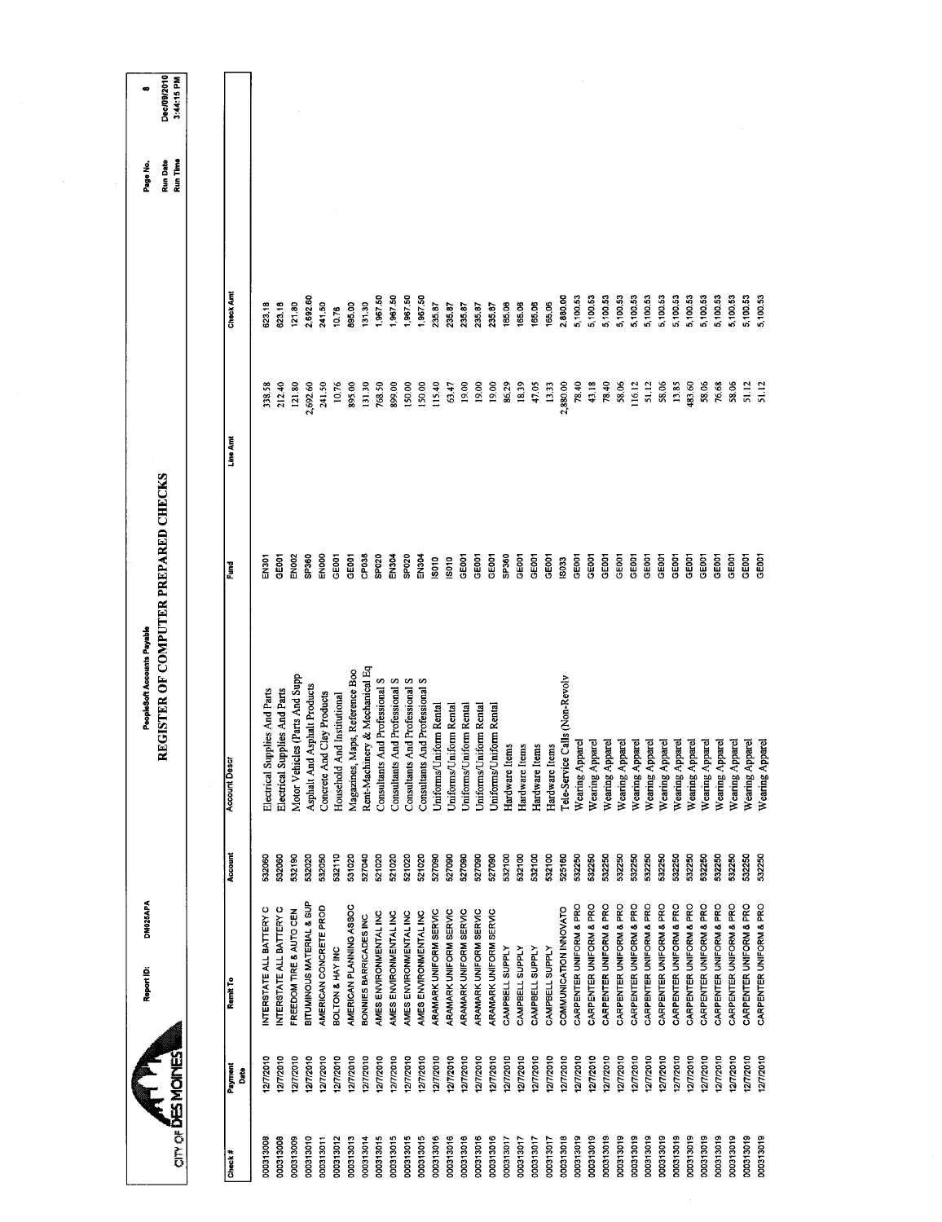| œ                           | Dec/09/2010<br>3:44:15 PM            |                      |      |                               |                               |                                                      |                                                            |                                |                                |                                |                                |                                |                                |                                |                                                  |                                                    |                         |                         |                   |                 |                                    |                                                  |                         |                         |                         |                         |                                                    |                         |                         |                         |                         |                         |                                                    |                                    |
|-----------------------------|--------------------------------------|----------------------|------|-------------------------------|-------------------------------|------------------------------------------------------|------------------------------------------------------------|--------------------------------|--------------------------------|--------------------------------|--------------------------------|--------------------------------|--------------------------------|--------------------------------|--------------------------------------------------|----------------------------------------------------|-------------------------|-------------------------|-------------------|-----------------|------------------------------------|--------------------------------------------------|-------------------------|-------------------------|-------------------------|-------------------------|----------------------------------------------------|-------------------------|-------------------------|-------------------------|-------------------------|-------------------------|----------------------------------------------------|------------------------------------|
| Page No.                    | Run Date<br>Run Time                 |                      |      |                               |                               |                                                      |                                                            |                                |                                |                                |                                |                                |                                |                                |                                                  |                                                    |                         |                         |                   |                 |                                    |                                                  |                         |                         |                         |                         |                                                    |                         |                         |                         |                         |                         |                                                    |                                    |
|                             |                                      | Check Am             |      | 623.18                        | 623,18                        | 2,692.60<br>121.80                                   | 241.50                                                     | 10.76                          | 895.00                         | 131.30                         | 1,967.50                       | 1,967.50                       | 1,967.50                       | 1,967.50                       | 235.87<br>235.87                                 | 235.87                                             | 235.87                  | 235.87                  | 165.06            | 165.06          | 165.06<br>165.06                   | 2,880.00                                         | 5,100.53                | 5,100.53                | 5,100.53                | 5,100.53                | 5,100.53<br>5,100.53                               | 5,100.53                | 5,100.53                | 5,100.53                | 5,100.53                | 5,100.53                | 5,100.53<br>5,100.53                               | 5,100.53                           |
|                             |                                      | Line Amt             |      | 338.58                        | 212.40                        | 121.80                                               | 2,692.60<br>241.50                                         | 10.76                          | 895.00                         | 131.30                         | 768.50                         | 899.00                         | 150,00                         | 150.00                         | 115.40<br>63.47                                  | 19.00                                              | 19.00                   | 19.00                   | 86.29             | 18.39           | 47.05                              | 13.33<br>2,880.00                                | 78.40                   | 43.18                   | 78.40                   | 58,06                   | 116.12<br>51.12                                    | 58.06                   | 13.85                   | 483.60                  | 58.06                   | 76.68                   | 58.06<br>51.12                                     | 51.12                              |
|                             |                                      | Ě                    |      | EN301                         | GEOOT                         | SP360<br>EN002                                       | EN000                                                      | GE001                          | GEOOT                          | CP038                          | SP020                          | EN304                          | SP <sub>020</sub>              | EN304                          | 18010<br>ISO10                                   | GE001                                              | GE001                   | GE001                   | SP <sub>360</sub> | GE001           | GE <sub>001</sub><br>GE001         | IS033                                            | GE001                   | GE001                   | GE001                   | GE001                   | GE001<br>GE <sub>001</sub>                         | GE001                   | GE <sub>001</sub>       | GE001                   | GE001                   | GE001                   | GE001<br>GE001                                     | GE001                              |
| PeopleSoft Accounts Payable | REGISTER OF COMPUTER PREPARED CHECKS | <b>Account Descr</b> |      | Electrical Supplies And Parts | Electrical Supplies And Parts | Motor Vehicles (Parts And Supp                       | Asphalt And Asphalt Products<br>Concrete And Clay Products | And Institutional<br>Household | Magazines, Maps, Reference Boo | Rent-Machinery & Mechanical Eq | Consultants And Professional S | Consultants And Professional S | Consultants And Professional S | Consultants And Professional S | Uniforms/Uniform Rental                          | Uniforms/Uniform Rental<br>Uniforms/Uniform Rental | Uniforms/Uniform Rental | Uniforms/Uniform Rental | Hardware Items    | Hardware Items  | Hardware Items                     | Tele-Service Calls (Non-Revolv<br>Hardware Items | Wearing Apparel         | Wearing Apparel         | Wearing Apparel         | Wearing Apparel         | Wearing Apparel<br>Wearing Apparel                 | Wearing Apparel         | Wearing Apparel         | Wearing Apparel         | Wearing Apparel         | Wearing Apparel         | Wearing Apparel                                    | Wearing Apparel<br>Wearing Apparel |
|                             |                                      | Account              |      | 532060                        | 532060                        | 532020<br>532190                                     | 532050                                                     | 532110                         | 531020                         | 527040                         | 521020                         | 521020                         | 521020                         | 521020                         | 527090<br>527090                                 | 527090                                             | 527090                  | 527090                  | 532100            | 532100          | 532100<br>532100                   | 525160                                           | 532250                  | 532250                  | 532250                  | 532250                  | 532250<br>532250                                   | 532250                  | 532250                  | 532250                  | 532250                  | 532250                  | 532250<br>532250                                   | 532250                             |
| DM025APA<br>Report ID:      |                                      | Remit To             |      | INTERSTATE ALL BATTERY C      | INTERSTATE ALL BATTERY C      | BITUMINOUS MATERIAL & SUP<br>FREEDOM TIRE & AUTO CEN | AMERICAN CONCRETE PROD                                     | BOLTON & HAY INC               | AMERICAN PLANNING ASSOC        | BONNIES BARRICADES INC         | AMES ENVIRONMENTAL INC         | AMES ENVIRONMENTAL INC         | AMES ENVIRONMENTAL INC         | AMES ENVIRONMENTAL INC         | ARAMARK UNIFORM SERVIC<br>ARAMARK UNIFORM SERVIC | ARAMARK UNIFORM SERVIC                             | ARAMARK UNIFORM SERVIC  | ARAMARK UNIFORM SERVIC  | CAMPBELL SUPPLY   | CAMPBELL SUPPLY | CAMPBELL SUPPLY<br>CAMPBELL SUPPLY | COMMUNICATION INNOVATO                           | CARPENTER UNIFORM & PRO | CARPENTER UNIFORM & PRO | CARPENTER UNIFORM & PRO | CARPENTER UNIFORM & PRO | CARPENTER UNIFORM & PRO<br>CARPENTER UNIFORM & PRO | CARPENTER UNIFORM & PRO | CARPENTER UNIFORM & PRO | CARPENTER UNIFORM & PRO | CARPENTER UNIFORM & PRO | CARPENTER UNIFORM & PRO | CARPENTER UNIFORM & PRO<br>CARPENTER UNIFORM & PRO | CARPENTER UNIFORM & PRO            |
|                             | <b>CITY OF DES MOTE</b>              | Payment              | Date | 277/2010                      | 12772010                      | 277/2010<br>12/7/2010                                | 277/2010                                                   | 12772010                       | 12/7/2010                      | 12772010                       | 12/7/2010                      | 1277/2010                      | 12/7/2010                      | 12/7/2010                      | 12/7/2010<br>12/7/2010                           | 12/7/2010                                          | 12/7/2010               | 12/7/2010               | 12/7/2010         | 12/7/2010       | 12/7/2010                          | 12/7/2010<br>12/7/2010                           | 12/7/2010               | 12/7/2010               | 12772010                | 12/7/2010               | 12/7/2010<br>1277/2010                             | 12/7/2010               | 12/7/2010               | 12/7/2010               | 12/7/2010               | 12/7/2010               | 2772010<br>1277/2010                               | 127/2010                           |
|                             |                                      | Check#               |      | 000313008                     | 000313008                     | 000313010<br>000313009                               | 000313011                                                  | 000313012                      | 000313013                      | 000313014                      | 000313015                      | 000313015                      | 000313015                      | 000313015                      | 000313016<br>000313016                           | 000313016                                          | 000313016               | 000313016               | 000313017         | 000313017       | 000313017<br>000313017             | 000313018                                        | 000313019               | 000313019               | 000313019               | 000313019               | 000313019<br>000313019                             | 000313019               | 000313019               | 000313019               | 000313019               | 000313019               | 000313019<br>000313019                             | 000313019                          |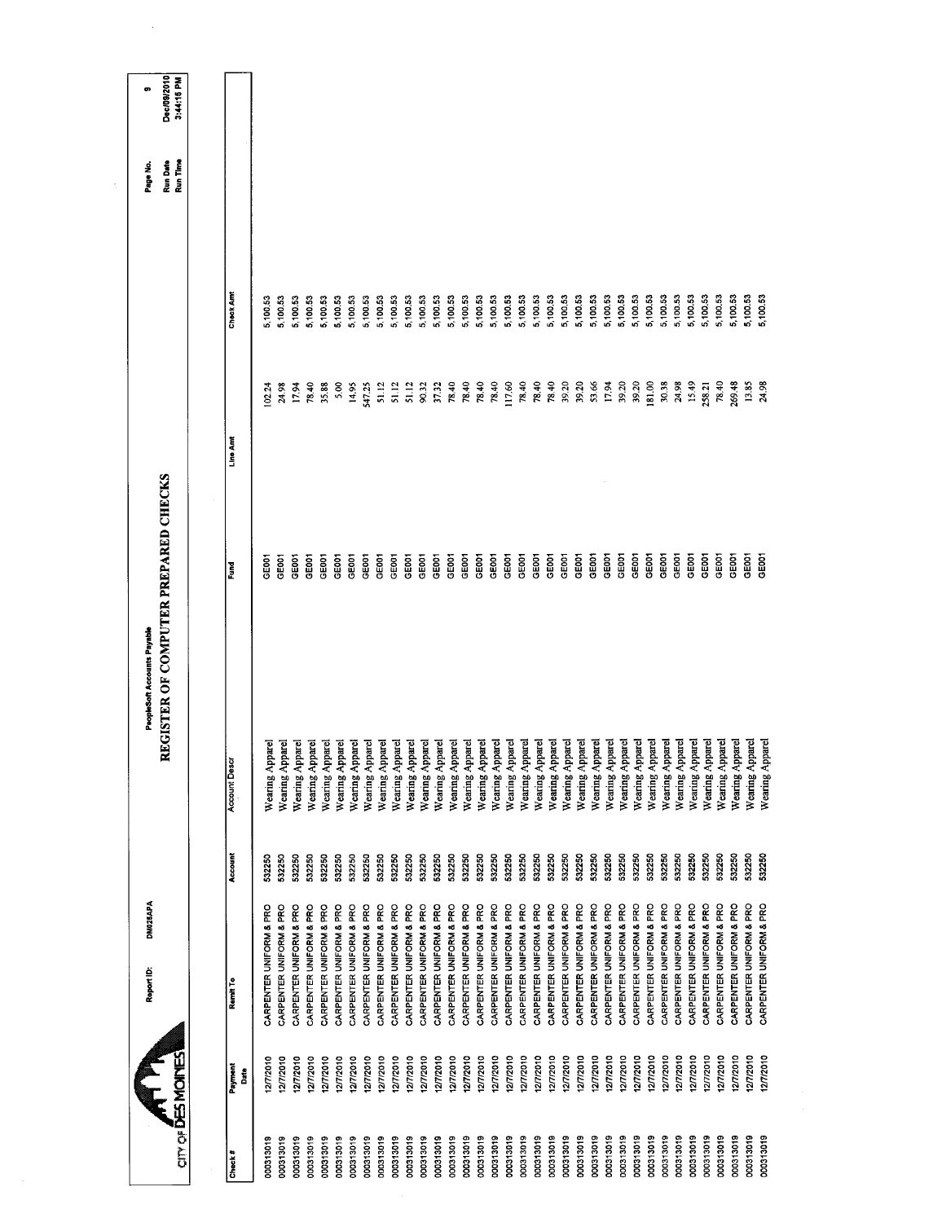|                           |                      | DM025APA<br>Report ID:  |         | REGISTER OF COMPUTER PREPARED CHECKS<br>PeopleSoft Accounts Payable |                   |          |          | Page No.                    | $\bullet$                 |
|---------------------------|----------------------|-------------------------|---------|---------------------------------------------------------------------|-------------------|----------|----------|-----------------------------|---------------------------|
| <b>CITY OF DES MOINES</b> |                      |                         |         |                                                                     |                   |          |          | Run Time<br><b>Run Date</b> | Dec/09/2010<br>3:44:15 PM |
|                           |                      |                         |         |                                                                     |                   |          |          |                             |                           |
| Check#                    | Payment<br>Date<br>C | Remit To                | Account | <b>Account Descr</b>                                                | <b>Fund</b>       | Line Ami | Check Am |                             |                           |
| 000313019                 | 2772010              | CARPENTER UNIFORM & PRO | 532250  | Wearing Apparel                                                     | GE <sub>001</sub> | 102.24   | 5,100.53 |                             |                           |
| 000313019                 | 12/7/2010            | CARPENTER UNIFORM & PRO | 532250  | Wearing Apparel                                                     | GE001             | 24.98    | 5,100.53 |                             |                           |
| 000313019                 | 12/7/2010            | CARPENTER UNIFORM & PRO | 532250  | Wearing Apparel                                                     | GE001             | 1794     | 5,100.53 |                             |                           |
| 000313019                 | 12/7/2010            | CARPENTER UNIFORM & PRO | 532250  | Wearing Appare                                                      | GEOOT             | 78.40    | 5,100.53 |                             |                           |
| 000313019                 | 12/7/2010            | CARPENTER UNIFORM & PRO | 532250  | Wearing Apparel                                                     | GE001             | 35.88    | 5,100.53 |                             |                           |
| 000313019                 | 12/7/2010            | CARPENTER UNIFORM & PRO | 532250  | Wearing Apparel                                                     | GEOOT             | 5.00     | 5,100.53 |                             |                           |
| 000313019                 | 12/7/2010            | CARPENTER UNIFORM & PRO | 532250  | Wearing Appare                                                      | GE001             | 14.95    | 5,100.53 |                             |                           |
| 000313019                 | 12/7/2010            | CARPENTER UNIFORM & PRO | 532250  | Wearing Appare                                                      | <b>GEOOT</b>      | 547.25   | 5,100.53 |                             |                           |
| 000313019                 | 12/7/2010            | CARPENTER UNIFORM & PRO | 532250  | Wearing Apparel                                                     | GEOOT             | 51.12    | 5,100.53 |                             |                           |
| 000313019                 | 12772010             | CARPENTER UNIFORM & PRO | 532250  | Wearing Apparel                                                     | GEOOT             | 51.12    | 5,100.53 |                             |                           |
| 000313019                 | 127/2010             | CARPENTER UNIFORM & PRO | 532250  | Wearing Apparel                                                     | GE001             | 51.12    | 5,100.53 |                             |                           |
| 000313019                 | 12/7/2010            | CARPENTER UNIFORM & PRO | 532250  | Wearing Apparel                                                     | GEOOT             | 90.32    | 5,100.53 |                             |                           |
| 000313019                 | 12/7/2010            | CARPENTER UNIFORM & PRO | 532250  | Wearing Apparel                                                     | GE001             | 37.32    | 5,100.53 |                             |                           |
| 000313019                 | 12/7/2010            | CARPENTER UNIFORM & PRO | 532250  | Wearing Apparel                                                     | GE001             | 78.40    | 5,100.53 |                             |                           |
| 000313019                 | 12/7/2010            | CARPENTER UNIFORM & PRO | 532250  | Wearing Apparel                                                     | GE001             | 78.40    | 5,100.53 |                             |                           |
| 000313019                 | 12772010             | CARPENTER UNIFORM & PRO | 532250  | Wearing Apparel                                                     | GE001             | 78.40    | 5,100.53 |                             |                           |
| 000313019                 | 12/7/2010            | CARPENTER UNIFORM & PRO | 532250  | Wearing Appare                                                      | GE001             | 78.40    | 5,100.53 |                             |                           |
| 000313019                 | 12772010             | CARPENTER UNIFORM & PRO | 532250  | Wearing Apparel                                                     | GE001             | 117.60   | 5,100.53 |                             |                           |
| 000313019                 | 12/7/2010            | CARPENTER UNIFORM & PRO | 532250  | Wearing Apparel                                                     | GE001             | 78.40    | 5,100.53 |                             |                           |
| 000313019                 | 127/2010             | CARPENTER UNIFORM & PRO | 532250  | Wearing Appare!                                                     | GE001             | 78.40    | 5,100.53 |                             |                           |
| 000313019                 | 1277/2010            | CARPENTER UNIFORM & PRO | 532250  | Wearing Apparel                                                     | GE <sub>001</sub> | 78.40    | 5,100.53 |                             |                           |
| 000313019                 | 12/7/2010            | CARPENTER UNIFORM & PRO | 532250  | Wearing Apparel                                                     | GE <sub>001</sub> | 39.20    | 5,100.53 |                             |                           |
| 000313019                 | 12/7/2010            | CARPENTER UNIFORM & PRO | 532250  | Wearing Appare                                                      | GE001             | 39.20    | 5,100.53 |                             |                           |
| 000313019                 | 277/2010             | CARPENTER UNIFORM & PRO | 532250  | Wearing Apparel                                                     | GE001             | 53.66    | 5,100.53 |                             |                           |
| 000313019                 | 27/2010              | CARPENTER UNIFORM & PRO | 532250  | Wearing Apparel                                                     | GEOCT             | 17.94    | 5,100.53 |                             |                           |
| 000313019                 | 12/7/2010            | CARPENTER UNIFORM & PRO | 532250  | Wearing Apparel                                                     | GE001             | 39.20    | 5,100.53 |                             |                           |
| 000313019                 | 12/7/2010            | CARPENTER UNIFORM & PRO | 532250  | Wearing Apparel                                                     | GE001             | 39.20    | 5,100.53 |                             |                           |
| 000313019                 | 2/7/2010             | CARPENTER UNIFORM & PRO | 532250  | Wearing Appare                                                      | GE001             | 181.00   | 5,100.53 |                             |                           |
| 000313019                 | 12772010             | CARPENTER UNIFORM & PRO | 532250  | Wearing Appare                                                      | GE001             | 30.38    | 5,100.53 |                             |                           |
| 000313019                 | 127/2010             | CARPENTER UNIFORM & PRO | 532250  | Wearing Apparel                                                     | GEOOT             | 24.98    | 5,100.53 |                             |                           |
| 000313019                 | 12/7/2010            | CARPENTER UNIFORM & PRO | 532250  | Wearing Apparel                                                     | <b>GEOOT</b>      | 15.49    | 5,100.53 |                             |                           |
| 000313019                 | 2/7/2010             | CARPENTER UNIFORM & PRO | 532250  | Wearing Appare!                                                     | GE001             | 258.21   | 5,100.53 |                             |                           |
| 000313019                 | 2772010              | CARPENTER UNIFORM & PRO | 532250  | Wearing Appare                                                      | GE001             | 78.40    | 5,100.53 |                             |                           |
| 000313019                 | 12/7/2010            | CARPENTER UNIFORM & PRO | 532250  | Wearing Apparel                                                     | GE001             | 269.48   | 5,100.53 |                             |                           |
| 000313019                 | 12/7/2010            | CARPENTER UNIFORM & PRO | 532250  | Wearing Apparel                                                     | GE001             | 13.85    | 5,100.53 |                             |                           |
| 000313019                 | 2772010              | CARPENTER UNIFORM & PRO | 532250  | Wearing Appare                                                      | GE001             | 24.98    | 5,100.53 |                             |                           |
|                           |                      |                         |         |                                                                     |                   |          |          |                             |                           |

l.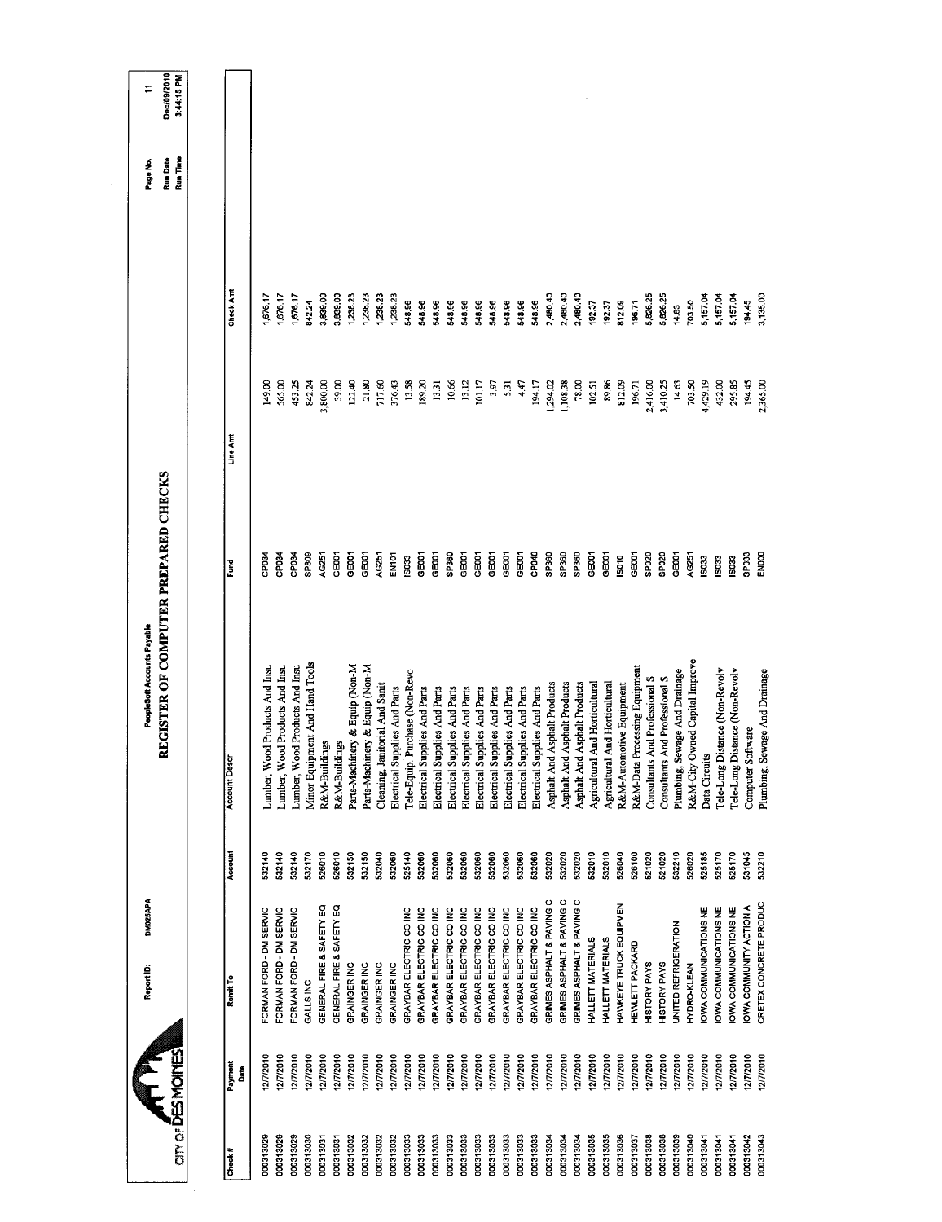|                                                                                                                        | REGISTER OF COMPUTER PREPARED CHECKS |                    |                    |
|------------------------------------------------------------------------------------------------------------------------|--------------------------------------|--------------------|--------------------|
|                                                                                                                        |                                      |                    |                    |
| <b>Account Descr</b>                                                                                                   | Fund                                 | Line Amt           | Check Am           |
| Lumber, Wood Products And Insu                                                                                         | CP <sub>034</sub>                    | 149.00             | 1,676.17           |
| Lumber, Wood Products And Insu                                                                                         | CP <sub>034</sub>                    | 565.00             | 1,676.17           |
| Lumber, Wood Products And Insu                                                                                         | CP034                                | 453.25             | 1,676.17           |
| Minor Equipment And Hand Tools                                                                                         | SP809                                | 842.24             | 842.24             |
| R&M-Buildings                                                                                                          | AG251                                | 3,800.00           | 3,839.00           |
| R&M-Buildings                                                                                                          | GE001                                | 39.00              | 3,839.00           |
| Parts-Machinery & Equip (Non-M                                                                                         | GE001                                | 122.40             | 1,238.23           |
| Parts-Machinery & Equip (Non-M                                                                                         | GE001                                | 21.80              | 1,238.23           |
| Cleaning, Janitorial And Sanit                                                                                         | AG251                                | 717.60             | 1,238.23           |
| Electrical Supplies And Parts                                                                                          | EN101                                | 376.43             | 1,238.23           |
| Tele-Equip. Purchase (Non-Revo                                                                                         | 13033                                | 13.58              | 548.96             |
| Electrical Supplies And Parts                                                                                          | GE001                                | 189.20             | 548.96             |
| Electrical Supplies And Parts                                                                                          | GE001                                | 13.31              | 548.96             |
| Electrical Supplies And Parts                                                                                          | SP360                                | 10.66              | 548.96             |
| Electrical Supplies And Parts                                                                                          | <b>GEOD1</b>                         | 13.12              | 548.96             |
| Electrical Supplies And Parts                                                                                          | GE001                                | 101.17             | 548.96             |
| Electrical Supplies And Parts                                                                                          | GE001                                | 3.97               | 548.96             |
| Electrical Supplies And Parts                                                                                          | GE001                                | 5.31               | 548.96             |
| Electrical Supplies And Parts                                                                                          | GE001                                | 4.47               | 548.96             |
| Electrical Supplies And Parts                                                                                          | CP040                                | 194.17             | 548.96             |
| Asphalt And Asphalt Products                                                                                           | SP360                                | 1,294.02           | 2,480.40           |
| Asphalt And Asphalt Products                                                                                           | SP360                                | 1,108.38           | 2,480.40           |
| Asphalt And Asphalt Products                                                                                           | SP360                                | 78.00              | 2,480.40           |
| Agricultural And Horticultural                                                                                         | GE001                                | 102.51             | 192.37             |
| Agricultural And Horticultural                                                                                         | GE001                                | 89.86              | 192.37             |
| R&M-Automotive Equipment                                                                                               | 13010                                | 812.09             | 812.09             |
| Processing Equipment<br>R&M-Data                                                                                       | GEOOT                                | 196.71             | 196.71             |
| And Professional S<br>Consultants                                                                                      | SP <sub>020</sub>                    | 2,416.00           | 5,826.25           |
| Consultants And Professional S                                                                                         | SPO <sub>20</sub>                    | 3,410.25           | 5,826.25           |
| Plumbing, Sewage And Drainage                                                                                          | GE001                                | 14.63              | 14.63              |
| Owned Capital Improve<br>R&M-City                                                                                      | AG251                                | 703.50             | 703.50             |
| Data Circuits                                                                                                          | IS033                                | 4,429.19           | 5,157.04           |
|                                                                                                                        |                                      |                    |                    |
|                                                                                                                        |                                      |                    |                    |
|                                                                                                                        | 1903                                 | 432.00             | 5,157.04           |
|                                                                                                                        | IS033                                | 295.85             | 5,157.04           |
| Tele-Long Distance (Non-Revolv<br>Tele-Long Distance (Non-Revolv<br>Plumbing, Sewage And Drainage<br>Computer Software | ENOOO<br>SPO33                       | 194.45<br>2,365.00 | 3,135.00<br>194.45 |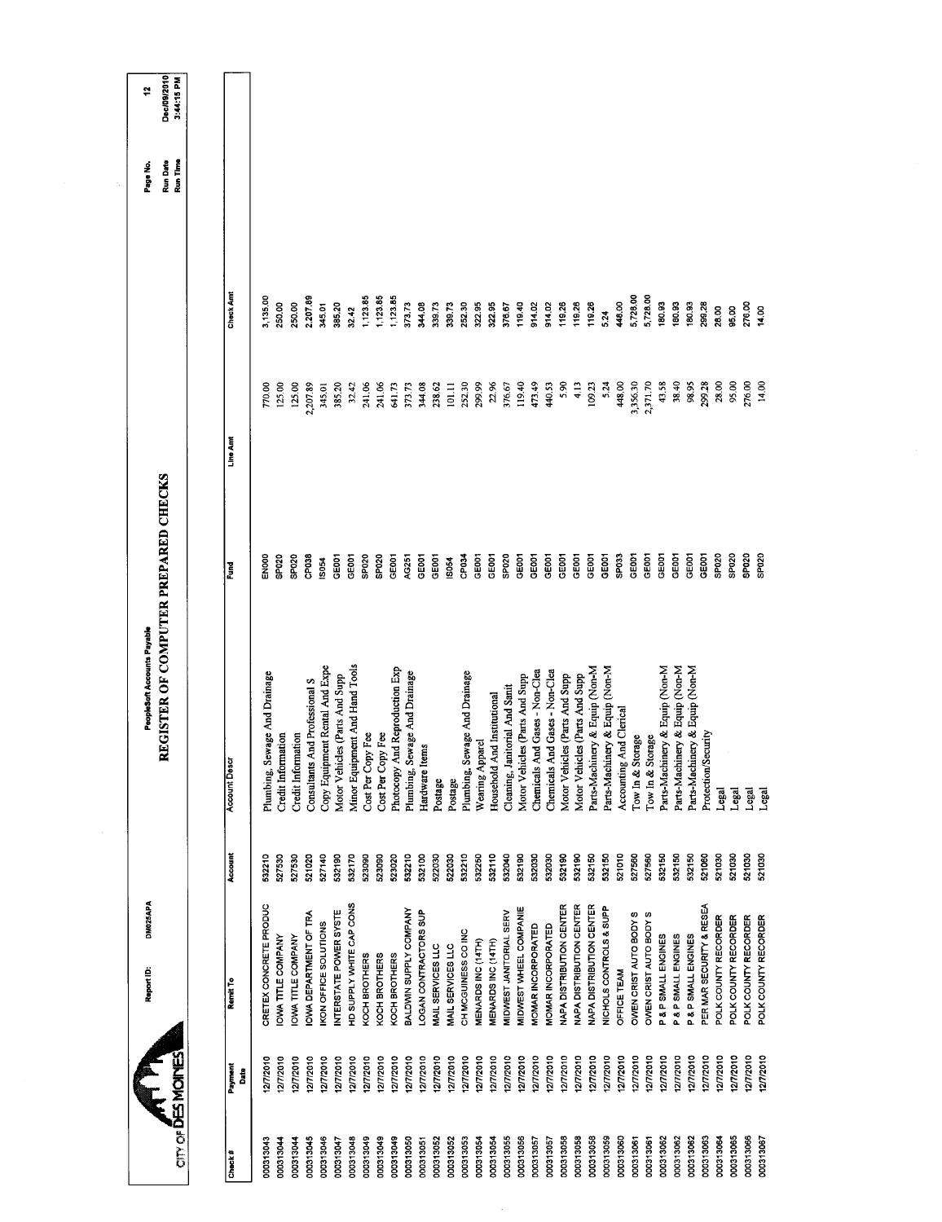|                   |                 | DM025APA<br>Report ID:          |         | REGISTER OF COMPUTER PREPARED CHECKS<br>PeopleSoft Accounts Payable |                   |          |          | Page No.             | ٩                         |
|-------------------|-----------------|---------------------------------|---------|---------------------------------------------------------------------|-------------------|----------|----------|----------------------|---------------------------|
| <b>ATTIC ACTS</b> |                 |                                 |         |                                                                     |                   |          |          | Run Time<br>Run Date | Dec/09/2010<br>3:44:15 PM |
|                   |                 |                                 |         |                                                                     |                   |          |          |                      |                           |
| Check#            | Payment<br>Date | Remit To                        | Account | <b>Account Desc</b>                                                 | š                 | Line Am  | Check Am |                      |                           |
| 000313043         | 2772010         | CRETEX CONCRETE PRODUC          | 532210  | Plumbing, Sewage And Drainage                                       | <b>BONE</b>       | 770.00   | 3,135.00 |                      |                           |
| 000313044         | 12/7/2010       | OWA TITLE COMPANY               | 527530  | Credit Information                                                  | <b>SP020</b>      | 125.00   | 250.00   |                      |                           |
| 000313044         | 12/7/2010       | <b>IOWA TITLE COMPANY</b>       | 527530  | Credit Information                                                  | <b>SPO20</b>      | 125.00   | 250.00   |                      |                           |
| 000313045         | 12/7/2010       | <b>IOWA DEPARTMENT OF TRA</b>   | 521020  | Consultants And Professional S                                      | 3P038             | 2,207.89 | 2,207.89 |                      |                           |
| 000313046         | 12/7/2010       | <b>IKON OFFICE SOLUTIONS</b>    | 527140  | Copy Equipment Rental And Expe                                      | S054              | 345.01   | 345.01   |                      |                           |
| 000313047         | 12/7/2010       | INTERSTATE POWER SYSTE          | 532190  | Motor Vehicles (Parts And Supp                                      | <b>GEOOT</b>      | 385.20   | 385.20   |                      |                           |
| 000313048         | 12/7/2010       | HD SUPPLY WHITE CAP CONS        | 532170  | Minor Equipment And Hand Tools                                      | GEOOT             | 32.42    | 32.42    |                      |                           |
| 000313049         | 12772010        | KOCH BROTHERS                   | 523090  | Cost Per Copy Fee                                                   | SP020             | 241.06   | 1,123.85 |                      |                           |
| 000313049         | 12/7/2010       | KOCH BROTHERS                   | 523090  | Cost Per Copy Fee                                                   | SPO <sub>20</sub> | 241.06   | 1,123.85 |                      |                           |
| 000313049         | 12/7/2010       | KOCH BROTHERS                   | 523020  | Photocopy And Reproduction Exp                                      | GEOOT             | 641.73   | 1,123.85 |                      |                           |
| 000313050         | 12/7/2010       | BALDWIN SUPPLY COMPANY          | 532210  | Plumbing, Sewage And Drainage                                       | AG251             | 373.73   | 373.73   |                      |                           |
| 000313051         | 127/2010        | LOGAN CONTRACTORS SUP           | 532100  | Hardware Items                                                      | GE001             | 344.08   | 344.08   |                      |                           |
| 000313052         | 12/7/2010       | MAIL SERVICES LLC               | 522030  | Postage                                                             | <b>GEOOT</b>      | 238.62   | 339.73   |                      |                           |
| 000313052         | 12/7/2010       | MAIL SERVICES LLC               | 522030  | Postage                                                             | ISO54             | 101.11   | 339.73   |                      |                           |
| 000313053         | 12/7/2010       | CH MCGUINESS CO INC             | 532210  | Plumbing, Sewage And Drainage                                       | CP <sub>034</sub> | 252.30   | 252.30   |                      |                           |
| 000313054         | 12/7/2010       | MENARDS INC (14TH)              | 532250  | Wearing Apparel                                                     | GEOOT             | 299.99   | 322.95   |                      |                           |
| 000313054         | 12/7/2010       | MENARDS INC (14TH)              | 532110  | Household And Institutional                                         | GEO <sub>o</sub>  | 22.96    | 322.95   |                      |                           |
| 000313055         | 12772010        | MIDWEST JANITORIAL SERV         | 532040  | Cleaning, Janitorial And Sanit                                      | SP <sub>020</sub> | 376.67   | 376.67   |                      |                           |
| 000313056         | 12/7/2010       | MIDWEST WHEEL COMPANIE          | 532190  | Motor Vehicles (Parts And Supp                                      | GE001             | 119.40   | 119.40   |                      |                           |
| 000313057         | 127/2010        | <b>MOMAR INCORPORATED</b>       | 532030  | Chemicals And Gases - Non-Clea                                      | GE001             | 473.49   | 914.02   |                      |                           |
| 000313057         | 12772010        | <b>MOMAR INCORPORATED</b>       | 532030  | Chemicals And Gases - Non-Clea                                      | <b>SEDOT</b>      | 440.53   | 914.02   |                      |                           |
| 000313058         | 12/7/2010       | NAPA DISTRIBUTION CENTER        | 532190  | Motor Vehicles (Parts And Supp                                      | GE001             | 5.90     | 119.26   |                      |                           |
| 000313058         | 2772010         | <b>NAPA DISTRIBUTION CENTER</b> | 532190  | Motor Vehicles (Parts And Supp                                      | GE <sub>001</sub> | 4.13     | 119.26   |                      |                           |
| 000313058         | 12/7/2010       | NAPA DISTRIBUTION CENTER        | 532150  | Parts-Machinery & Equip (Non-M                                      | GE001             | 109.23   | 119.26   |                      |                           |
| 000313059         | 12/7/2010       | NICHOLS CONTROLS & SUPP         | 532150  | Parts-Machinery & Equip (Non-M                                      | GEDOT             | 5.24     | 5.24     |                      |                           |
| 000313060         | 2/7/2010        | OFFICE TEAM                     | 521010  | Accounting And Clerical                                             | SPO33             | 448,00   | 448.00   |                      |                           |
| 000313061         | 12/7/2010       | OWEN CRIST AUTO BODY S          | 527560  | Tow In & Storage                                                    | GEOOT             | 3,356.30 | 5,728.00 |                      |                           |
| 000313061         | 12/7/2010       | OWEN CRIST AUTO BODY S          | 527560  | Tow In & Storage                                                    | GE001             | 2,371.70 | 5,728.00 |                      |                           |
| 000313062         | 12/7/2010       | P & P SMALL ENGINES             | 532150  | Parts-Machinery & Equip (Non-M                                      | GEOOT             | 43.58    | 180.93   |                      |                           |
| 000313062         | 12/7/2010       | P & P SMALL ENGINES             | 532150  | Parts-Machinery & Equip (Non-M                                      | GE001             | 38.40    | 180.93   |                      |                           |
| 000313062         | 12/7/2010       | P & P SMALL ENGINES             | 532150  | Parts-Machinery & Equip (Non-M                                      | GE001             | 98.95    | 180.93   |                      |                           |
| 000313063         | 12/7/2010       | PER MAR SECURITY & RESEA        | 521060  | Protection/Security                                                 | GEOOT             | 299.28   | 299.28   |                      |                           |
| 000313064         | 1277/2010       | POLK COUNTY RECORDER            | 521030  | Legal                                                               | SP020             | 28.00    | 28.00    |                      |                           |
| 000313065         | 2772010         | POLK COUNTY RECORDER            | 521030  | اچ<br>عا                                                            | SP020             | 95.00    | 95.00    |                      |                           |
| 000313066         | 127/2010        | POLK COUNTY RECORDER            | 521030  | Legal                                                               | SPO <sub>20</sub> | 276.00   | 276.00   |                      |                           |
| 000313067         | 12/7/2010       | POLK COUNTY RECORDER            | 521030  | Legal                                                               | SPO <sub>20</sub> | 14,00    | 14.00    |                      |                           |
|                   |                 |                                 |         |                                                                     |                   |          |          |                      |                           |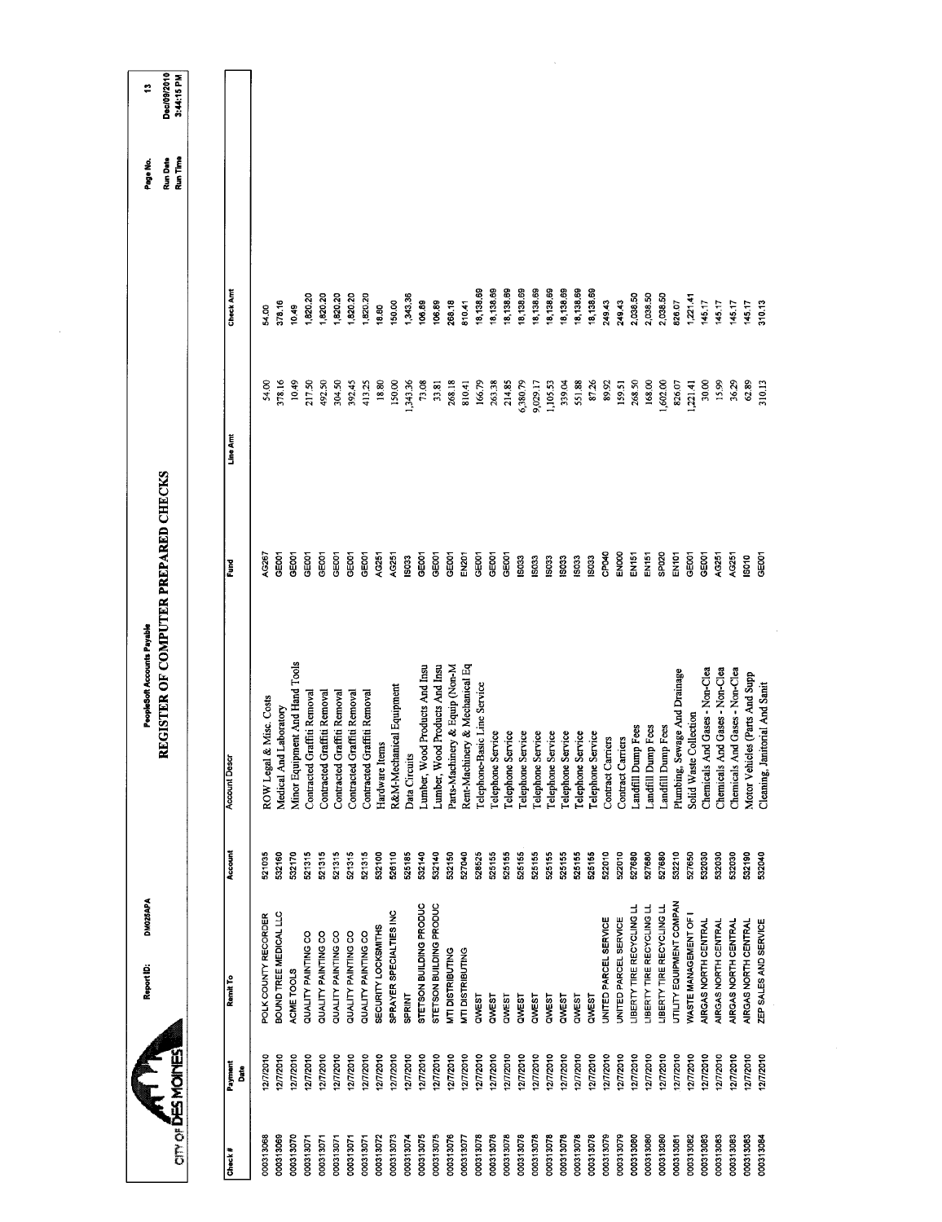|                        |                        | DM025APA<br>Report ID:                             |                  | <b>PeopleSoft Accounts Payable</b>                         |                   |                    |                        | Page No.             | ÷                         |
|------------------------|------------------------|----------------------------------------------------|------------------|------------------------------------------------------------|-------------------|--------------------|------------------------|----------------------|---------------------------|
| cin of DESMONE         |                        |                                                    |                  | GISTER OF COMPUTER PREPARED CHECKS<br>R                    |                   |                    |                        | Run Date<br>Run Time | Dec/09/2010<br>3:44:15 PM |
| Check#                 | Payment<br><b>Bate</b> | Remit To                                           | Account          | <b>Account Descr</b>                                       | Ĕ                 | Line Arrt          | <b>Check Amt</b>       |                      |                           |
| 000313068              | 12/7/2010              | POLK COUNTY RECORDER                               | 521035           | ROW Legal & Misc. Costs                                    | AG267             | 54.00              | 54.00                  |                      |                           |
| 000313069              | 12772010               | BOUND TREE MEDICAL LLC                             | 532160           | Medical And Laboratory                                     | GE001             | 378.16             | 378.16                 |                      |                           |
| 000313070              | 12/7/2010              | ACME TOOLS                                         | 532170           | Minor Equipment And Hand Tools                             | GEOOT             | 10.49              | 10.49                  |                      |                           |
| 000313071              | 12/7/2010              | QUALITY PAINTING CO                                | 521315           | Contracted Graffiti Removal                                | GEOOT             | 217.50             | 1,820.20               |                      |                           |
| 000313071<br>000313071 | 12/7/2010              | QUALITY PAINTING CO<br>QUALITY PAINTING CO         | 521315<br>521315 | Contracted Graffiti Removal                                | GEOOT<br>GE001    | 492.50             | 1,820.20               |                      |                           |
| 000313071              | 12/7/2010<br>1277/2010 | QUALITY PAINTING CO                                | 521315           | Contracted Graffiti Removal<br>Contracted Graffiti Removal | GEOD1             | 304.50<br>392.45   | 1,820.20<br>1,820.20   |                      |                           |
| 000313071              | 12/7/2010              | QUALITY PAINTING CO                                | 521315           | Contracted Graffiti Removal                                | GE001             | 413.25             | 1,820.20               |                      |                           |
| 000313072              | 12/7/2010              | SECURITY LOCKSMITHS                                | 532100           | Hardware Items                                             | AG251             | 18.80              | 18.80                  |                      |                           |
| 000313073              | 12/7/2010              | SPRAYER SPECIALTIES INC                            | 526110           | R&M-Mechanical Equipment                                   | AG251             | 150,00             | 150.00                 |                      |                           |
| 000313074              | 12/7/2010              | <b>SPRINT</b>                                      | 525185           | Data Circuits                                              | 603               | 1,343.36           | 1,343.36               |                      |                           |
| 000313075              | 127/2010               | STETSON BUILDING PRODUC                            | 532140           | Products And Insu<br>Lumber, Wood                          | GE001             | 73.08              | 106.89                 |                      |                           |
| 000313075              | 12/7/2010              | STETSON BUILDING PRODUC                            | 532140           | Products And Insu<br>Lumber, Wood                          | <b>GE001</b>      | 33.81              | 106.89                 |                      |                           |
| 000313076              | 1277/2010              | MTI DISTRIBUTING                                   | 532150           | Parts-Machinery & Equip (Non-M                             | GE001             | 268.18             | 268.18                 |                      |                           |
| 000313077              | 12/7/2010              | MTI DISTRIBUTING                                   | 527040           | & Mechanical Eq<br>Rent-Machinery                          | EN201             | 810.41             | 810.41                 |                      |                           |
| 000313078              | 12/7/2010              | QWEST                                              | 528525           | Telephone-Basic Line Service                               | GE001<br>GEOOT    | 166.79             | 18,138.69              |                      |                           |
| 000313078              | 12/7/2010              | QWEST                                              | 525155           | Telephone Service                                          |                   | 263.38             | 18,138.69              |                      |                           |
| 000313078<br>000313078 | 12/7/2010<br>12/7/2010 | QWEST<br><b>QWEST</b>                              | 525155<br>525155 | Telephone Service<br>Telephone Service                     | GE001<br>IS033    | 214.85<br>6,380.79 | 18,138.69<br>18,138.69 |                      |                           |
| 000313078              | 12/72010               | QWEST                                              | 525155           | Telephone Service                                          | 1503              | 9,029.17           | 18,138.69              |                      |                           |
| 000313078              | 12/7/2010              | QWEST                                              | 525155           | Telephone Service                                          | <b>SO33</b>       | 1,105.53           | 18,138.69              |                      |                           |
| 000313078              | 12/7/2010              | QWEST                                              | 525155           | Telephone Service                                          | 1503              | 339.04             | 18,138.69              |                      |                           |
| 000313078              | 12772010               | QWEST                                              | 525155           | Telephone Service                                          | 1503              | 551.88             | 18,138.69              |                      |                           |
| 000313078              | 12/7/2010              | QWEST                                              | 525155           | Telephone Service                                          | 15033             | 87.26              | 18,138.69              |                      |                           |
| 000313079              | 12/7/2010              | UNITED PARCEL SERVICE                              | 522010           | Contract Carriers                                          | CPO40             | 89.92              | 249.43                 |                      |                           |
| 000313079<br>000313080 | 12/7/2010<br>12772010  | LIBERTY TIRE RECYCLING LL<br>UNITED PARCEL SERVICE | 522010<br>527680 | Landfill Dump Fees<br>Contract Carriers                    | ENOOO<br>EN151    | 268.50<br>159.51   | 2,038.50<br>249.43     |                      |                           |
| 000313080              | 12/7/2010              | LIBERTY TIRE RECYCLING LL                          | 527680           | Landfill Dump Fees                                         | EN <sub>151</sub> | 168.00             | 2,038.50               |                      |                           |
| 000313080              | 12/7/2010              | <b>LIBERTY TIRE RECYCLING LL</b>                   | 527680           | Landfill Dump Fees                                         | SPO <sub>20</sub> | 1,602.00           | 2,038.50               |                      |                           |
| 000313081              | 12/7/2010              | UTILITY EQUIPMENT COMPAN                           | 532210           | Plumbing, Sewage And Drainage                              | EN101             | 826.07             | 826.07                 |                      |                           |
| 000313082              | 12/7/2010              | WASTE MANAGEMENT OF I                              | 527650           | Solid Waste Collection                                     | GE001             | 1,221.41           | 1,221.41               |                      |                           |
| 000313083              | 12/7/2010              | AIRGAS NORTH CENTRAL                               | 532030           | Chemicals And Gases - Non-Clea                             | GEDO1             | 30,00              | 145.17                 |                      |                           |
| 000313083              | 12/7/2010              | AIRGAS NORTH CENTRAL                               | 532030           | Chemicals And Gases - Non-Clea                             | AG251             | 15.99              | 145.17                 |                      |                           |
| 000313083              | 12/7/2010              | AIRGAS NORTH CENTRAL                               | 532030           | Chemicals And Gases - Non-Clea                             | AG251             | 36.29              | 145.17                 |                      |                           |
| 000313083              | 12/7/2010              | AIRGAS NORTH CENTRAL                               | 532190           | Motor Vehicles (Parts And Supp                             | 15010             | 62.89              | 14517                  |                      |                           |
| 000313084              | 12/7/2010              | ZEP SALES AND SERVICE                              | 532040           | Cleaning, Janitorial And Sanit                             | GE001             | 310.13             | 310.13                 |                      |                           |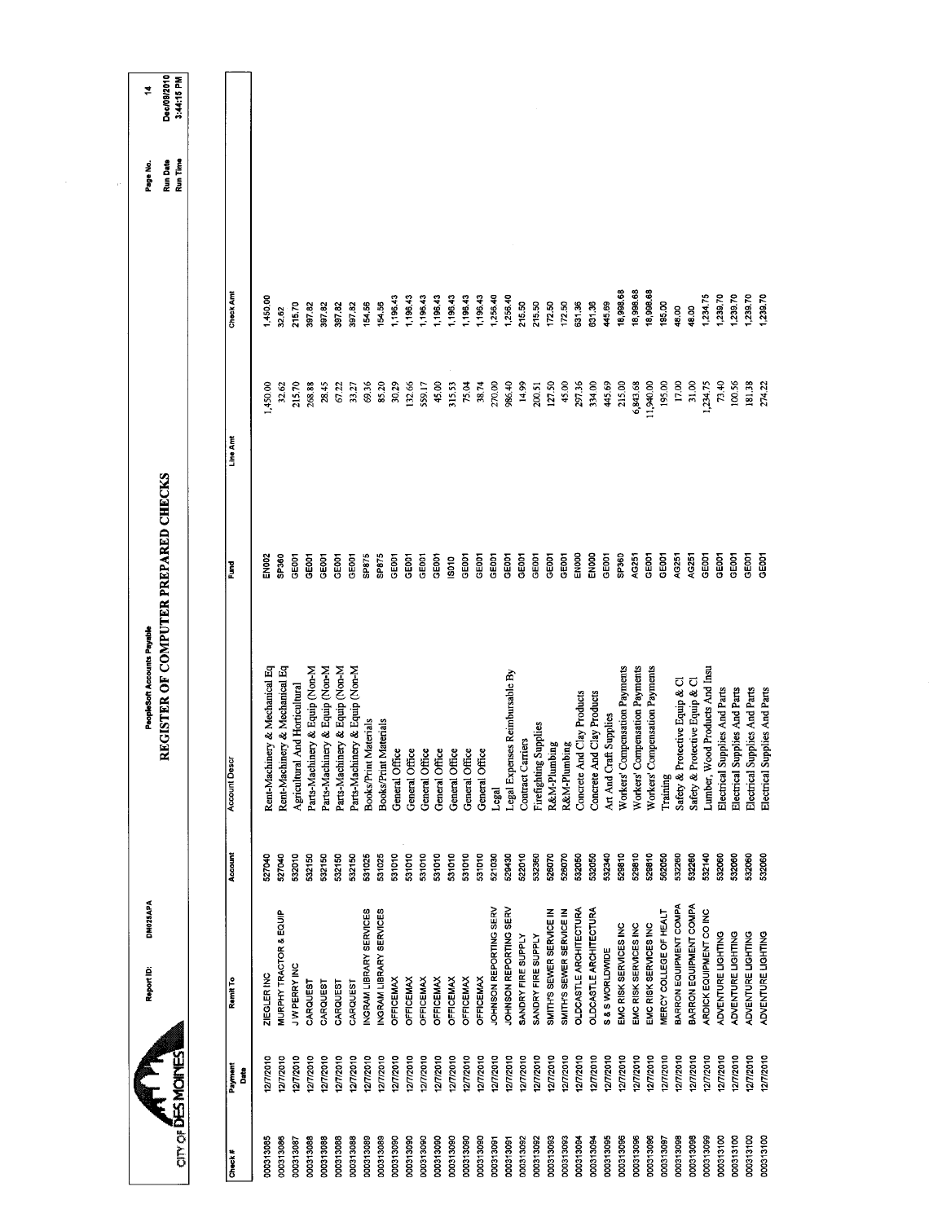| Account<br>532010<br>527040<br>532150<br>532150<br>527040<br>MURPHY TRACTOR & EQUIP<br>JW PERRY INC<br>ZIEGLER INC<br>Ramit To<br>CARQUEST<br>CARQUEST | REGISTER OF COMPUTER PREPARED CHECKS<br>PeopleSoft Accounts Payable |                   |                 |                      | Run Date<br>Page No. | Dec/09/2010<br>≠ |
|--------------------------------------------------------------------------------------------------------------------------------------------------------|---------------------------------------------------------------------|-------------------|-----------------|----------------------|----------------------|------------------|
|                                                                                                                                                        |                                                                     |                   |                 |                      | Run Time             | 3:44:15 PM       |
|                                                                                                                                                        | <b>Account Descr</b>                                                | Fund              | Line Arrt       | Check Amt            |                      |                  |
|                                                                                                                                                        | Rent-Machinery & Mechanical Eq                                      | EN002             | 1,450.00        | 1,450.00             |                      |                  |
|                                                                                                                                                        | Rent-Machinery & Mechanical Eq                                      | SP360             | 32.62           | 32.62                |                      |                  |
|                                                                                                                                                        | Agricultural And Horticultural                                      | GE001             | 215.70          | 215.70               |                      |                  |
|                                                                                                                                                        | Parts-Machinery & Equip (Non-M                                      | GE001             | 268.88          | 397.82               |                      |                  |
|                                                                                                                                                        | Parts-Machinery & Equip (Non-M                                      | GE001             | 28.45           | 397.82               |                      |                  |
| 532150<br>532150<br>CARQUEST<br>CARQUEST                                                                                                               | Parts-Machinery & Equip (Non-M<br>Parts-Machinery & Equip (Non-M    | GE001<br>GE001    | 67.22<br>33.27  | 397.82<br>397.82     |                      |                  |
| 531025<br>INGRAM LIBRARY SERVICES                                                                                                                      | <b>Books/Print Materials</b>                                        | SP875             | 69.36           | 154,56               |                      |                  |
| 531025<br>INGRAM LIBRARY SERVICES                                                                                                                      | Materials<br>Books/Print                                            | SP875             | 85.20           | 154.56               |                      |                  |
| 531010<br><b>OFFICEMAX</b>                                                                                                                             | General Office                                                      | GEDOT             | 30.29           | 1,196.43             |                      |                  |
| 531010<br><b>OFFICEMAX</b>                                                                                                                             | General Office                                                      | GE <sub>001</sub> | 132.66          | 1,196.43             |                      |                  |
| 531010<br><b>OFFICEMAX</b>                                                                                                                             | General Office                                                      | <b>CE001</b>      | 559.17          | 1,196.43             |                      |                  |
| 531010<br><b>OFFICEMAX</b>                                                                                                                             | General Office                                                      | GE001             | 45.00           | 1,196.43             |                      |                  |
| 531010<br><b>OFFICEMAX</b>                                                                                                                             | General Office                                                      | IS010             | 315,53          | 1,196.43             |                      |                  |
| 531010<br>531010<br><b>OFFICEMAX</b><br><b>OFFICEMAX</b>                                                                                               | General Office                                                      | GE001<br>GE001    | 75.04           | 1,196.43<br>1,196.43 |                      |                  |
| 521030<br>JOHNSON REPORTING SERV                                                                                                                       | General Office                                                      | GEOOT             | 270,00<br>38.74 | 1,256.40             |                      |                  |
| 529430<br>JOHNSON REPORTING SERV                                                                                                                       | Legal Expenses Reimbursable By<br>Legal                             | GE001             | 986.40          | 1,256.40             |                      |                  |
| 522010<br>SANDRY FIRE SUPPLY                                                                                                                           | Contract Carriers                                                   | GE001             | 14.99           | 215.50               |                      |                  |
| 532360<br>SANDRY FIRE SUPPLY                                                                                                                           | Firefighting Supplies                                               | GEOOT             | 200.51          | 215.50               |                      |                  |
| 526070<br>SMITH'S SEWER SERVICE IN                                                                                                                     | R&M-Plumbing                                                        | GE001             | 127.50          | 172.50               |                      |                  |
| 526070<br>532050<br>OLDCASTLE ARCHITECTURA<br>SMITH'S SEWER SERVICE IN                                                                                 | R&M-Plumbing                                                        | ENOOO<br>GEOO1    | 29736<br>45.00  | 172.50<br>631.36     |                      |                  |
| 532050<br><b>OLDCASTLE ARCHITECTURA</b>                                                                                                                | Concrete And Clay Products<br>Concrete And Clay Products            | ENOOO             | 334.00          | 63136                |                      |                  |
| 532340<br>S&SWORLDWDE                                                                                                                                  | Art And Craft Supplies                                              | <b>GEOOT</b>      | 445.69          | 445.69               |                      |                  |
| 529810<br>EMC RISK SERVICES INC                                                                                                                        | Workers' Compensation Payments                                      | SP360             | 215.00          | 18,998.68            |                      |                  |
| 529810<br>EMC RISK SERVICES INC                                                                                                                        | Workers' Compensation Payments                                      | AG251             | 6,843.68        | 18,998.68            |                      |                  |
| 529810<br>EMC RISK SERVICES INC                                                                                                                        | Workers' Compensation Payments                                      | GEOOT             | 11,940.00       | 18,998.68            |                      |                  |
| 562050<br>MERCY COLLEGE OF HEALT                                                                                                                       | Training                                                            | GE001             | 195.00          | 195.00               |                      |                  |
| 532260<br>BARRON EQUIPMENT COMPA                                                                                                                       | Safety & Protective Equip & Cl                                      | AG251             | 17.00           | 48.00                |                      |                  |
| 532260<br>BARRON EQUIPMENT COMPA                                                                                                                       | Safety & Protective Equip & Cl                                      | AG251             | 31.00           | 48.00                |                      |                  |
| 532140<br>ARDICK EQUIPMENT CO INC                                                                                                                      | Lumber, Wood Products And Insu                                      | GE001             | 1,234.75        | 1,234.75             |                      |                  |
| 532060<br>ADVENTURE LIGHTING                                                                                                                           | Electrical Supplies And Parts                                       | GEOO1             | 73.40           | 1,239.70             |                      |                  |
| 532060<br>ADVENTURE LIGHTING                                                                                                                           | Electrical Supplies And Parts                                       | GEOOT             | 100.56          | 1,239.70             |                      |                  |
| 532060<br>ADVENTURE LIGHTING<br>ADVENTURE LIGHTING                                                                                                     | Electrical Supplies And Parts                                       | GE001<br>GE001    | 181.38          | 1,239.70             |                      |                  |